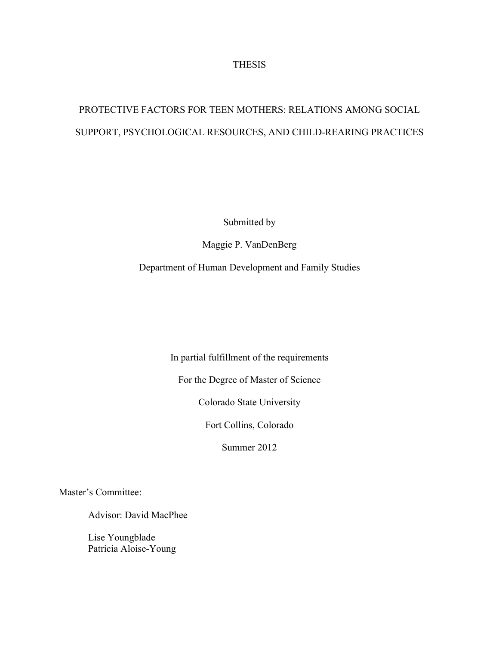## THESIS

# PROTECTIVE FACTORS FOR TEEN MOTHERS: RELATIONS AMONG SOCIAL SUPPORT, PSYCHOLOGICAL RESOURCES, AND CHILD-REARING PRACTICES

Submitted by

Maggie P. VanDenBerg

Department of Human Development and Family Studies

In partial fulfillment of the requirements

For the Degree of Master of Science

Colorado State University

Fort Collins, Colorado

Summer 2012

Master's Committee:

Advisor: David MacPhee

Lise Youngblade Patricia Aloise-Young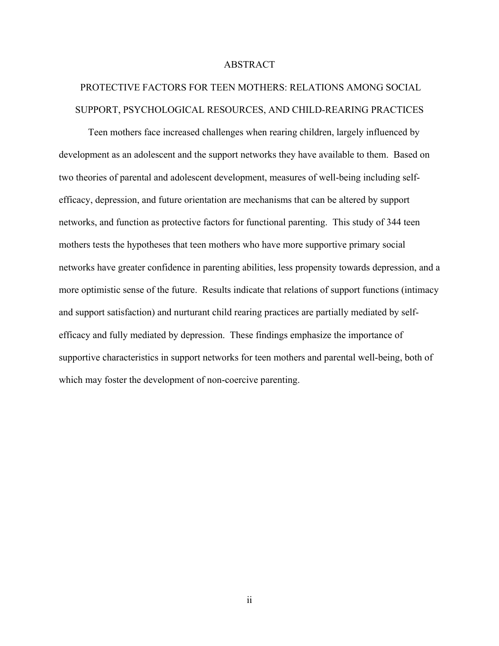## ABSTRACT

## PROTECTIVE FACTORS FOR TEEN MOTHERS: RELATIONS AMONG SOCIAL SUPPORT, PSYCHOLOGICAL RESOURCES, AND CHILD-REARING PRACTICES

Teen mothers face increased challenges when rearing children, largely influenced by development as an adolescent and the support networks they have available to them. Based on two theories of parental and adolescent development, measures of well-being including selfefficacy, depression, and future orientation are mechanisms that can be altered by support networks, and function as protective factors for functional parenting. This study of 344 teen mothers tests the hypotheses that teen mothers who have more supportive primary social networks have greater confidence in parenting abilities, less propensity towards depression, and a more optimistic sense of the future. Results indicate that relations of support functions (intimacy and support satisfaction) and nurturant child rearing practices are partially mediated by selfefficacy and fully mediated by depression. These findings emphasize the importance of supportive characteristics in support networks for teen mothers and parental well-being, both of which may foster the development of non-coercive parenting.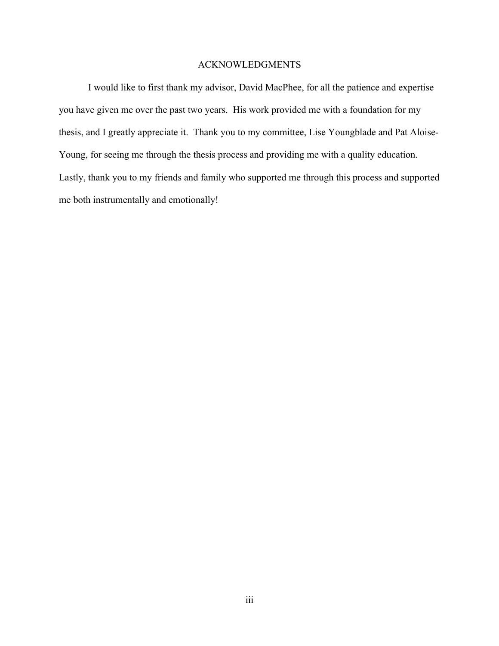## ACKNOWLEDGMENTS

I would like to first thank my advisor, David MacPhee, for all the patience and expertise you have given me over the past two years. His work provided me with a foundation for my thesis, and I greatly appreciate it. Thank you to my committee, Lise Youngblade and Pat Aloise-Young, for seeing me through the thesis process and providing me with a quality education. Lastly, thank you to my friends and family who supported me through this process and supported me both instrumentally and emotionally!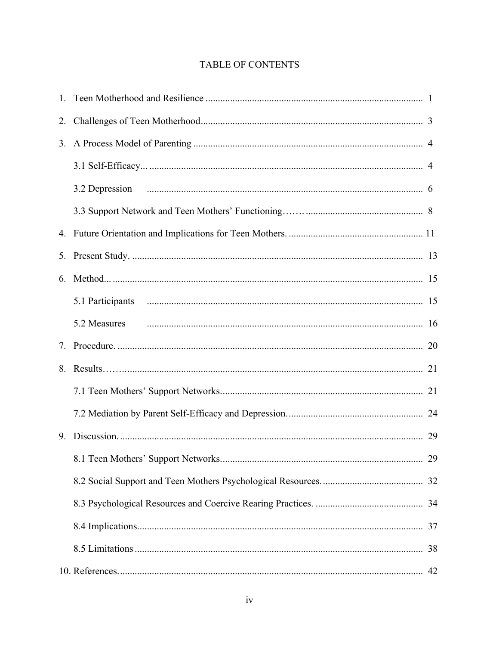## TABLE OF CONTENTS

| 2. |              |  |
|----|--------------|--|
|    |              |  |
|    |              |  |
|    |              |  |
|    |              |  |
|    |              |  |
| 5. |              |  |
| 6. |              |  |
|    |              |  |
|    | 5.2 Measures |  |
| 7. |              |  |
|    |              |  |
|    |              |  |
|    |              |  |
|    |              |  |
|    |              |  |
|    |              |  |
|    |              |  |
|    |              |  |
|    |              |  |
|    |              |  |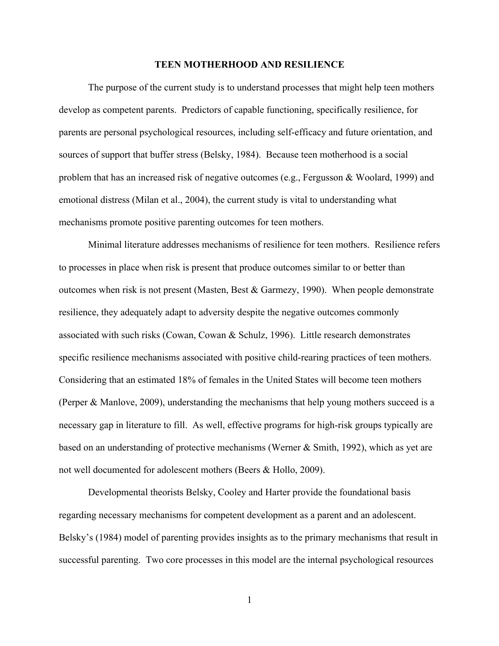#### **TEEN MOTHERHOOD AND RESILIENCE**

The purpose of the current study is to understand processes that might help teen mothers develop as competent parents. Predictors of capable functioning, specifically resilience, for parents are personal psychological resources, including self-efficacy and future orientation, and sources of support that buffer stress (Belsky, 1984). Because teen motherhood is a social problem that has an increased risk of negative outcomes (e.g., Fergusson & Woolard, 1999) and emotional distress (Milan et al., 2004), the current study is vital to understanding what mechanisms promote positive parenting outcomes for teen mothers.

Minimal literature addresses mechanisms of resilience for teen mothers. Resilience refers to processes in place when risk is present that produce outcomes similar to or better than outcomes when risk is not present (Masten, Best & Garmezy, 1990). When people demonstrate resilience, they adequately adapt to adversity despite the negative outcomes commonly associated with such risks (Cowan, Cowan & Schulz, 1996). Little research demonstrates specific resilience mechanisms associated with positive child-rearing practices of teen mothers. Considering that an estimated 18% of females in the United States will become teen mothers (Perper & Manlove, 2009), understanding the mechanisms that help young mothers succeed is a necessary gap in literature to fill. As well, effective programs for high-risk groups typically are based on an understanding of protective mechanisms (Werner & Smith, 1992), which as yet are not well documented for adolescent mothers (Beers & Hollo, 2009).

Developmental theorists Belsky, Cooley and Harter provide the foundational basis regarding necessary mechanisms for competent development as a parent and an adolescent. Belsky's (1984) model of parenting provides insights as to the primary mechanisms that result in successful parenting. Two core processes in this model are the internal psychological resources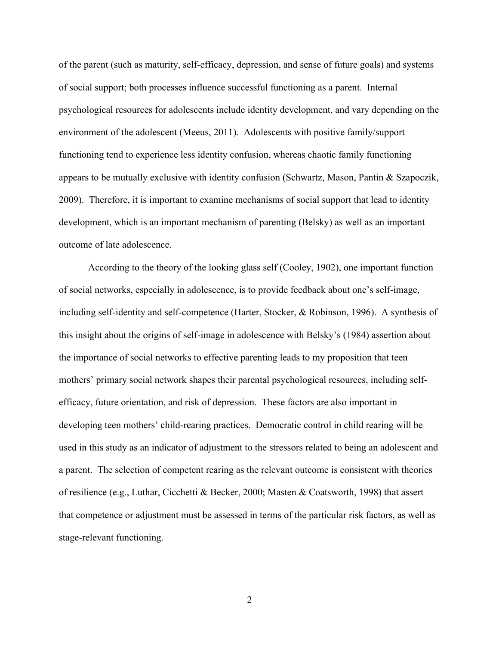of the parent (such as maturity, self-efficacy, depression, and sense of future goals) and systems of social support; both processes influence successful functioning as a parent. Internal psychological resources for adolescents include identity development, and vary depending on the environment of the adolescent (Meeus, 2011). Adolescents with positive family/support functioning tend to experience less identity confusion, whereas chaotic family functioning appears to be mutually exclusive with identity confusion (Schwartz, Mason, Pantin & Szapoczik, 2009). Therefore, it is important to examine mechanisms of social support that lead to identity development, which is an important mechanism of parenting (Belsky) as well as an important outcome of late adolescence.

According to the theory of the looking glass self (Cooley, 1902), one important function of social networks, especially in adolescence, is to provide feedback about one's self-image, including self-identity and self-competence (Harter, Stocker, & Robinson, 1996). A synthesis of this insight about the origins of self-image in adolescence with Belsky's (1984) assertion about the importance of social networks to effective parenting leads to my proposition that teen mothers' primary social network shapes their parental psychological resources, including selfefficacy, future orientation, and risk of depression. These factors are also important in developing teen mothers' child-rearing practices. Democratic control in child rearing will be used in this study as an indicator of adjustment to the stressors related to being an adolescent and a parent. The selection of competent rearing as the relevant outcome is consistent with theories of resilience (e.g., Luthar, Cicchetti & Becker, 2000; Masten & Coatsworth, 1998) that assert that competence or adjustment must be assessed in terms of the particular risk factors, as well as stage-relevant functioning.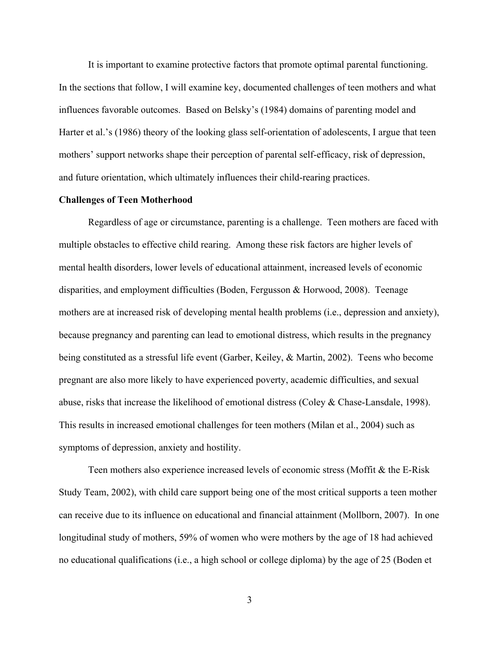It is important to examine protective factors that promote optimal parental functioning. In the sections that follow, I will examine key, documented challenges of teen mothers and what influences favorable outcomes. Based on Belsky's (1984) domains of parenting model and Harter et al.'s (1986) theory of the looking glass self-orientation of adolescents, I argue that teen mothers' support networks shape their perception of parental self-efficacy, risk of depression, and future orientation, which ultimately influences their child-rearing practices.

### **Challenges of Teen Motherhood**

Regardless of age or circumstance, parenting is a challenge. Teen mothers are faced with multiple obstacles to effective child rearing. Among these risk factors are higher levels of mental health disorders, lower levels of educational attainment, increased levels of economic disparities, and employment difficulties (Boden, Fergusson & Horwood, 2008). Teenage mothers are at increased risk of developing mental health problems (i.e., depression and anxiety), because pregnancy and parenting can lead to emotional distress, which results in the pregnancy being constituted as a stressful life event (Garber, Keiley, & Martin, 2002). Teens who become pregnant are also more likely to have experienced poverty, academic difficulties, and sexual abuse, risks that increase the likelihood of emotional distress (Coley & Chase-Lansdale, 1998). This results in increased emotional challenges for teen mothers (Milan et al., 2004) such as symptoms of depression, anxiety and hostility.

Teen mothers also experience increased levels of economic stress (Moffit & the E-Risk Study Team, 2002), with child care support being one of the most critical supports a teen mother can receive due to its influence on educational and financial attainment (Mollborn, 2007). In one longitudinal study of mothers, 59% of women who were mothers by the age of 18 had achieved no educational qualifications (i.e., a high school or college diploma) by the age of 25 (Boden et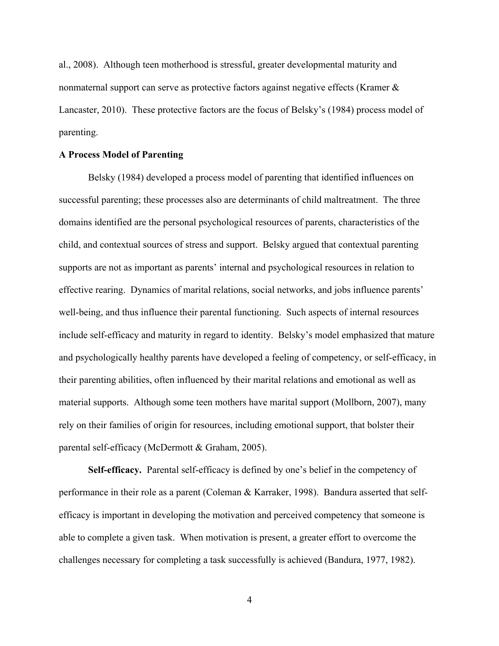al., 2008). Although teen motherhood is stressful, greater developmental maturity and nonmaternal support can serve as protective factors against negative effects (Kramer & Lancaster, 2010). These protective factors are the focus of Belsky's (1984) process model of parenting.

## **A Process Model of Parenting**

Belsky (1984) developed a process model of parenting that identified influences on successful parenting; these processes also are determinants of child maltreatment. The three domains identified are the personal psychological resources of parents, characteristics of the child, and contextual sources of stress and support. Belsky argued that contextual parenting supports are not as important as parents' internal and psychological resources in relation to effective rearing. Dynamics of marital relations, social networks, and jobs influence parents' well-being, and thus influence their parental functioning. Such aspects of internal resources include self-efficacy and maturity in regard to identity. Belsky's model emphasized that mature and psychologically healthy parents have developed a feeling of competency, or self-efficacy, in their parenting abilities, often influenced by their marital relations and emotional as well as material supports. Although some teen mothers have marital support (Mollborn, 2007), many rely on their families of origin for resources, including emotional support, that bolster their parental self-efficacy (McDermott & Graham, 2005).

**Self-efficacy.** Parental self-efficacy is defined by one's belief in the competency of performance in their role as a parent (Coleman & Karraker, 1998). Bandura asserted that selfefficacy is important in developing the motivation and perceived competency that someone is able to complete a given task. When motivation is present, a greater effort to overcome the challenges necessary for completing a task successfully is achieved (Bandura, 1977, 1982).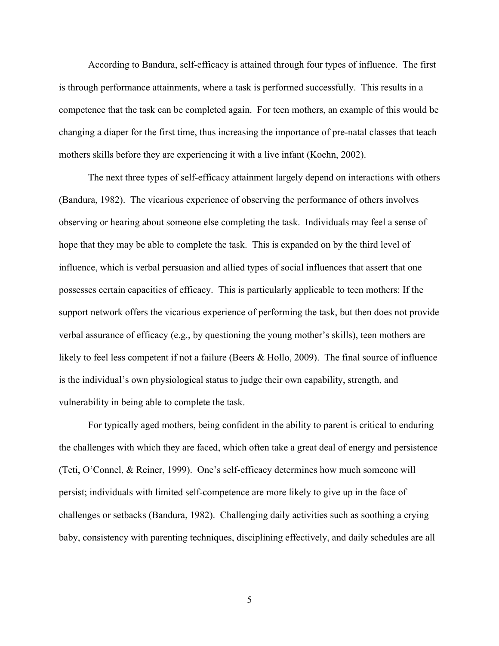According to Bandura, self-efficacy is attained through four types of influence. The first is through performance attainments, where a task is performed successfully. This results in a competence that the task can be completed again. For teen mothers, an example of this would be changing a diaper for the first time, thus increasing the importance of pre-natal classes that teach mothers skills before they are experiencing it with a live infant (Koehn, 2002).

The next three types of self-efficacy attainment largely depend on interactions with others (Bandura, 1982). The vicarious experience of observing the performance of others involves observing or hearing about someone else completing the task. Individuals may feel a sense of hope that they may be able to complete the task. This is expanded on by the third level of influence, which is verbal persuasion and allied types of social influences that assert that one possesses certain capacities of efficacy. This is particularly applicable to teen mothers: If the support network offers the vicarious experience of performing the task, but then does not provide verbal assurance of efficacy (e.g., by questioning the young mother's skills), teen mothers are likely to feel less competent if not a failure (Beers & Hollo, 2009). The final source of influence is the individual's own physiological status to judge their own capability, strength, and vulnerability in being able to complete the task.

For typically aged mothers, being confident in the ability to parent is critical to enduring the challenges with which they are faced, which often take a great deal of energy and persistence (Teti, O'Connel, & Reiner, 1999). One's self-efficacy determines how much someone will persist; individuals with limited self-competence are more likely to give up in the face of challenges or setbacks (Bandura, 1982). Challenging daily activities such as soothing a crying baby, consistency with parenting techniques, disciplining effectively, and daily schedules are all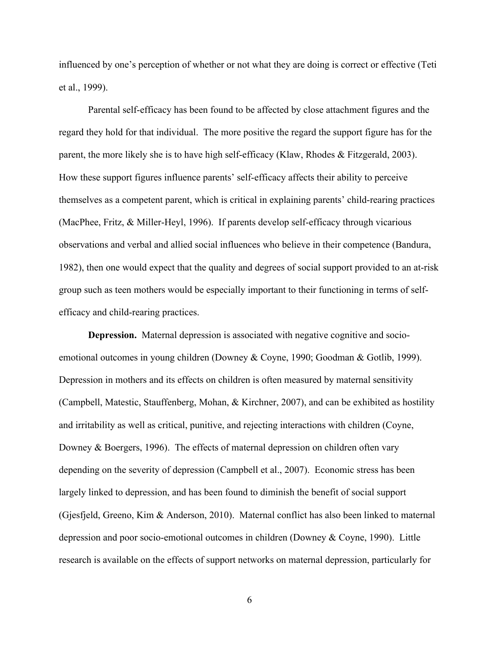influenced by one's perception of whether or not what they are doing is correct or effective (Teti et al., 1999).

Parental self-efficacy has been found to be affected by close attachment figures and the regard they hold for that individual. The more positive the regard the support figure has for the parent, the more likely she is to have high self-efficacy (Klaw, Rhodes & Fitzgerald, 2003). How these support figures influence parents' self-efficacy affects their ability to perceive themselves as a competent parent, which is critical in explaining parents' child-rearing practices (MacPhee, Fritz, & Miller-Heyl, 1996). If parents develop self-efficacy through vicarious observations and verbal and allied social influences who believe in their competence (Bandura, 1982), then one would expect that the quality and degrees of social support provided to an at-risk group such as teen mothers would be especially important to their functioning in terms of selfefficacy and child-rearing practices.

**Depression.** Maternal depression is associated with negative cognitive and socioemotional outcomes in young children (Downey & Coyne, 1990; Goodman & Gotlib, 1999). Depression in mothers and its effects on children is often measured by maternal sensitivity (Campbell, Matestic, Stauffenberg, Mohan, & Kirchner, 2007), and can be exhibited as hostility and irritability as well as critical, punitive, and rejecting interactions with children (Coyne, Downey & Boergers, 1996). The effects of maternal depression on children often vary depending on the severity of depression (Campbell et al., 2007). Economic stress has been largely linked to depression, and has been found to diminish the benefit of social support (Gjesfjeld, Greeno, Kim & Anderson, 2010). Maternal conflict has also been linked to maternal depression and poor socio-emotional outcomes in children (Downey & Coyne, 1990). Little research is available on the effects of support networks on maternal depression, particularly for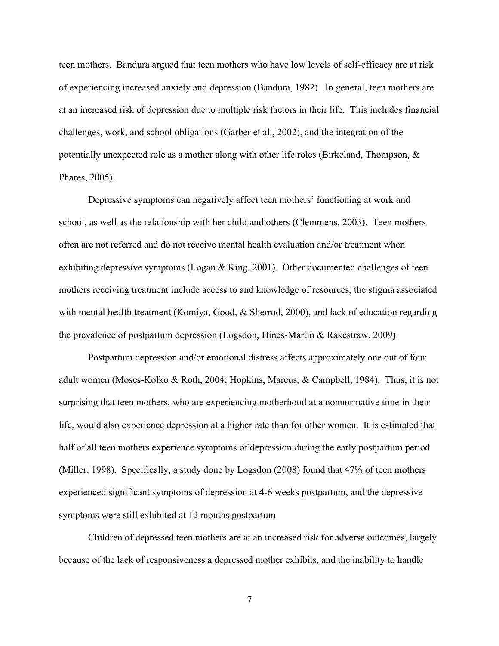teen mothers. Bandura argued that teen mothers who have low levels of self-efficacy are at risk of experiencing increased anxiety and depression (Bandura, 1982). In general, teen mothers are at an increased risk of depression due to multiple risk factors in their life. This includes financial challenges, work, and school obligations (Garber et al., 2002), and the integration of the potentially unexpected role as a mother along with other life roles (Birkeland, Thompson, & Phares, 2005).

Depressive symptoms can negatively affect teen mothers' functioning at work and school, as well as the relationship with her child and others (Clemmens, 2003). Teen mothers often are not referred and do not receive mental health evaluation and/or treatment when exhibiting depressive symptoms (Logan & King, 2001). Other documented challenges of teen mothers receiving treatment include access to and knowledge of resources, the stigma associated with mental health treatment (Komiya, Good, & Sherrod, 2000), and lack of education regarding the prevalence of postpartum depression (Logsdon, Hines-Martin & Rakestraw, 2009).

Postpartum depression and/or emotional distress affects approximately one out of four adult women (Moses-Kolko & Roth, 2004; Hopkins, Marcus, & Campbell, 1984). Thus, it is not surprising that teen mothers, who are experiencing motherhood at a nonnormative time in their life, would also experience depression at a higher rate than for other women. It is estimated that half of all teen mothers experience symptoms of depression during the early postpartum period (Miller, 1998). Specifically, a study done by Logsdon (2008) found that 47% of teen mothers experienced significant symptoms of depression at 4-6 weeks postpartum, and the depressive symptoms were still exhibited at 12 months postpartum.

Children of depressed teen mothers are at an increased risk for adverse outcomes, largely because of the lack of responsiveness a depressed mother exhibits, and the inability to handle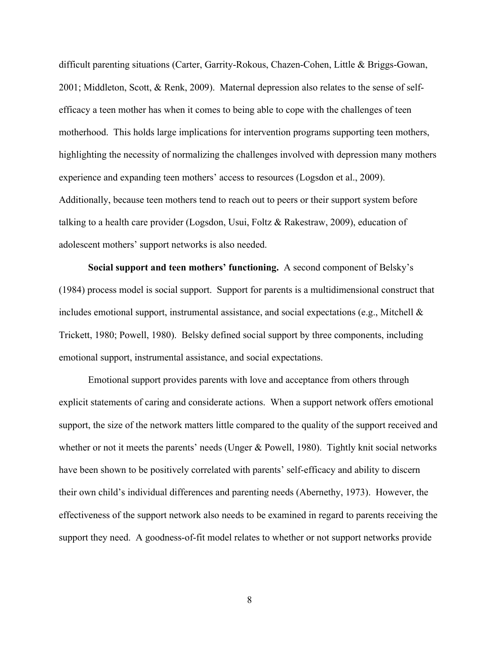difficult parenting situations (Carter, Garrity-Rokous, Chazen-Cohen, Little & Briggs-Gowan, 2001; Middleton, Scott, & Renk, 2009). Maternal depression also relates to the sense of selfefficacy a teen mother has when it comes to being able to cope with the challenges of teen motherhood. This holds large implications for intervention programs supporting teen mothers, highlighting the necessity of normalizing the challenges involved with depression many mothers experience and expanding teen mothers' access to resources (Logsdon et al., 2009). Additionally, because teen mothers tend to reach out to peers or their support system before talking to a health care provider (Logsdon, Usui, Foltz & Rakestraw, 2009), education of adolescent mothers' support networks is also needed.

**Social support and teen mothers' functioning.** A second component of Belsky's (1984) process model is social support. Support for parents is a multidimensional construct that includes emotional support, instrumental assistance, and social expectations (e.g., Mitchell  $\&$ Trickett, 1980; Powell, 1980). Belsky defined social support by three components, including emotional support, instrumental assistance, and social expectations.

Emotional support provides parents with love and acceptance from others through explicit statements of caring and considerate actions. When a support network offers emotional support, the size of the network matters little compared to the quality of the support received and whether or not it meets the parents' needs (Unger  $\&$  Powell, 1980). Tightly knit social networks have been shown to be positively correlated with parents' self-efficacy and ability to discern their own child's individual differences and parenting needs (Abernethy, 1973). However, the effectiveness of the support network also needs to be examined in regard to parents receiving the support they need. A goodness-of-fit model relates to whether or not support networks provide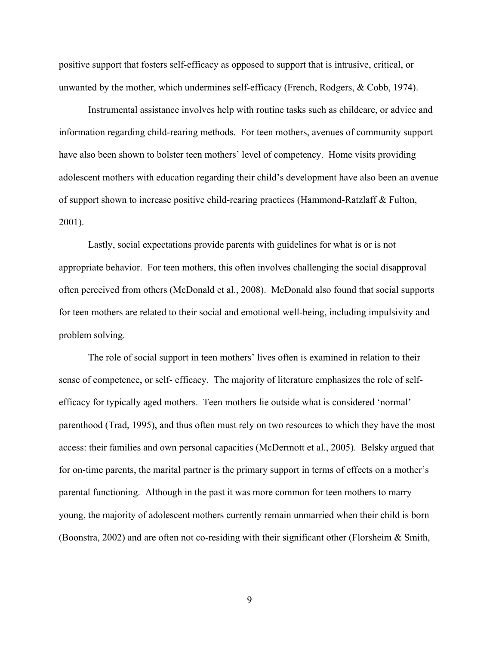positive support that fosters self-efficacy as opposed to support that is intrusive, critical, or unwanted by the mother, which undermines self-efficacy (French, Rodgers, & Cobb, 1974).

Instrumental assistance involves help with routine tasks such as childcare, or advice and information regarding child-rearing methods. For teen mothers, avenues of community support have also been shown to bolster teen mothers' level of competency. Home visits providing adolescent mothers with education regarding their child's development have also been an avenue of support shown to increase positive child-rearing practices (Hammond-Ratzlaff & Fulton, 2001).

Lastly, social expectations provide parents with guidelines for what is or is not appropriate behavior. For teen mothers, this often involves challenging the social disapproval often perceived from others (McDonald et al., 2008). McDonald also found that social supports for teen mothers are related to their social and emotional well-being, including impulsivity and problem solving.

The role of social support in teen mothers' lives often is examined in relation to their sense of competence, or self- efficacy. The majority of literature emphasizes the role of selfefficacy for typically aged mothers. Teen mothers lie outside what is considered 'normal' parenthood (Trad, 1995), and thus often must rely on two resources to which they have the most access: their families and own personal capacities (McDermott et al., 2005). Belsky argued that for on-time parents, the marital partner is the primary support in terms of effects on a mother's parental functioning. Although in the past it was more common for teen mothers to marry young, the majority of adolescent mothers currently remain unmarried when their child is born (Boonstra, 2002) and are often not co-residing with their significant other (Florsheim & Smith,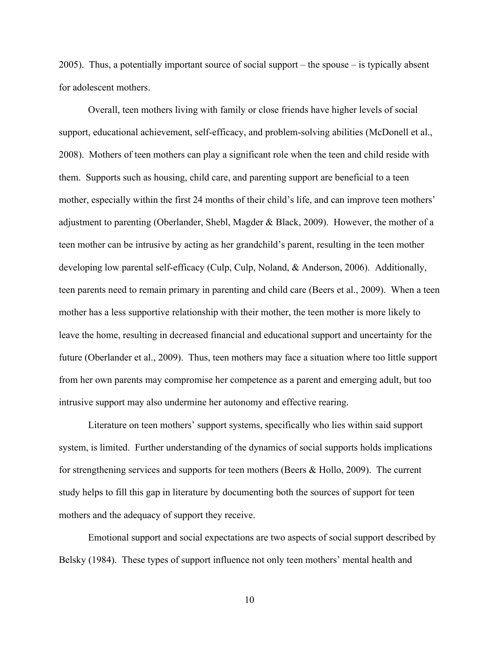2005). Thus, a potentially important source of social support – the spouse – is typically absent for adolescent mothers.

Overall, teen mothers living with family or close friends have higher levels of social support, educational achievement, self-efficacy, and problem-solving abilities (McDonell et al., 2008). Mothers of teen mothers can play a significant role when the teen and child reside with them. Supports such as housing, child care, and parenting support are beneficial to a teen mother, especially within the first 24 months of their child's life, and can improve teen mothers' adjustment to parenting (Oberlander, Shebl, Magder & Black, 2009). However, the mother of a teen mother can be intrusive by acting as her grandchild's parent, resulting in the teen mother developing low parental self-efficacy (Culp, Culp, Noland, & Anderson, 2006). Additionally, teen parents need to remain primary in parenting and child care (Beers et al., 2009). When a teen mother has a less supportive relationship with their mother, the teen mother is more likely to leave the home, resulting in decreased financial and educational support and uncertainty for the future (Oberlander et al., 2009). Thus, teen mothers may face a situation where too little support from her own parents may compromise her competence as a parent and emerging adult, but too intrusive support may also undermine her autonomy and effective rearing.

Literature on teen mothers' support systems, specifically who lies within said support system, is limited. Further understanding of the dynamics of social supports holds implications for strengthening services and supports for teen mothers (Beers & Hollo, 2009). The current study helps to fill this gap in literature by documenting both the sources of support for teen mothers and the adequacy of support they receive.

Emotional support and social expectations are two aspects of social support described by Belsky (1984). These types of support influence not only teen mothers' mental health and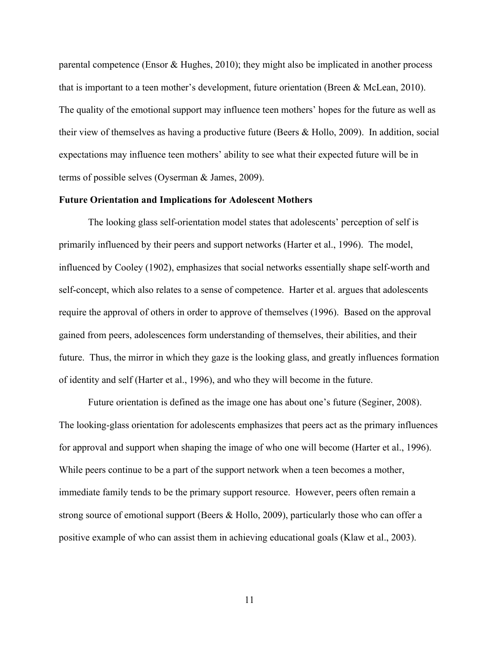parental competence (Ensor  $\&$  Hughes, 2010); they might also be implicated in another process that is important to a teen mother's development, future orientation (Breen & McLean, 2010). The quality of the emotional support may influence teen mothers' hopes for the future as well as their view of themselves as having a productive future (Beers & Hollo, 2009). In addition, social expectations may influence teen mothers' ability to see what their expected future will be in terms of possible selves (Oyserman & James, 2009).

## **Future Orientation and Implications for Adolescent Mothers**

The looking glass self-orientation model states that adolescents' perception of self is primarily influenced by their peers and support networks (Harter et al., 1996). The model, influenced by Cooley (1902), emphasizes that social networks essentially shape self-worth and self-concept, which also relates to a sense of competence. Harter et al. argues that adolescents require the approval of others in order to approve of themselves (1996). Based on the approval gained from peers, adolescences form understanding of themselves, their abilities, and their future. Thus, the mirror in which they gaze is the looking glass, and greatly influences formation of identity and self (Harter et al., 1996), and who they will become in the future.

Future orientation is defined as the image one has about one's future (Seginer, 2008). The looking-glass orientation for adolescents emphasizes that peers act as the primary influences for approval and support when shaping the image of who one will become (Harter et al., 1996). While peers continue to be a part of the support network when a teen becomes a mother, immediate family tends to be the primary support resource. However, peers often remain a strong source of emotional support (Beers & Hollo, 2009), particularly those who can offer a positive example of who can assist them in achieving educational goals (Klaw et al., 2003).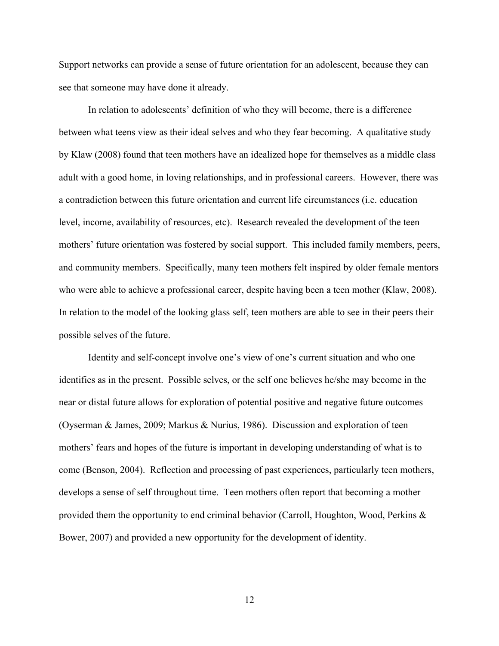Support networks can provide a sense of future orientation for an adolescent, because they can see that someone may have done it already.

In relation to adolescents' definition of who they will become, there is a difference between what teens view as their ideal selves and who they fear becoming. A qualitative study by Klaw (2008) found that teen mothers have an idealized hope for themselves as a middle class adult with a good home, in loving relationships, and in professional careers. However, there was a contradiction between this future orientation and current life circumstances (i.e. education level, income, availability of resources, etc). Research revealed the development of the teen mothers' future orientation was fostered by social support. This included family members, peers, and community members. Specifically, many teen mothers felt inspired by older female mentors who were able to achieve a professional career, despite having been a teen mother (Klaw, 2008). In relation to the model of the looking glass self, teen mothers are able to see in their peers their possible selves of the future.

Identity and self-concept involve one's view of one's current situation and who one identifies as in the present. Possible selves, or the self one believes he/she may become in the near or distal future allows for exploration of potential positive and negative future outcomes (Oyserman & James, 2009; Markus & Nurius, 1986). Discussion and exploration of teen mothers' fears and hopes of the future is important in developing understanding of what is to come (Benson, 2004). Reflection and processing of past experiences, particularly teen mothers, develops a sense of self throughout time. Teen mothers often report that becoming a mother provided them the opportunity to end criminal behavior (Carroll, Houghton, Wood, Perkins & Bower, 2007) and provided a new opportunity for the development of identity.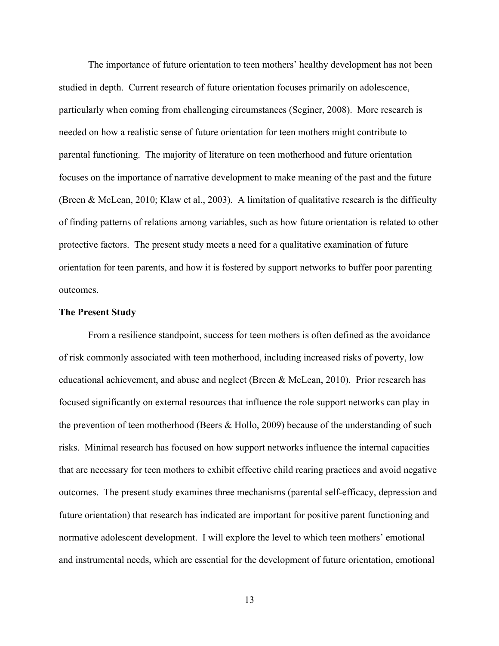The importance of future orientation to teen mothers' healthy development has not been studied in depth. Current research of future orientation focuses primarily on adolescence, particularly when coming from challenging circumstances (Seginer, 2008). More research is needed on how a realistic sense of future orientation for teen mothers might contribute to parental functioning. The majority of literature on teen motherhood and future orientation focuses on the importance of narrative development to make meaning of the past and the future (Breen & McLean, 2010; Klaw et al., 2003). A limitation of qualitative research is the difficulty of finding patterns of relations among variables, such as how future orientation is related to other protective factors. The present study meets a need for a qualitative examination of future orientation for teen parents, and how it is fostered by support networks to buffer poor parenting outcomes.

## **The Present Study**

From a resilience standpoint, success for teen mothers is often defined as the avoidance of risk commonly associated with teen motherhood, including increased risks of poverty, low educational achievement, and abuse and neglect (Breen & McLean, 2010). Prior research has focused significantly on external resources that influence the role support networks can play in the prevention of teen motherhood (Beers & Hollo, 2009) because of the understanding of such risks. Minimal research has focused on how support networks influence the internal capacities that are necessary for teen mothers to exhibit effective child rearing practices and avoid negative outcomes. The present study examines three mechanisms (parental self-efficacy, depression and future orientation) that research has indicated are important for positive parent functioning and normative adolescent development. I will explore the level to which teen mothers' emotional and instrumental needs, which are essential for the development of future orientation, emotional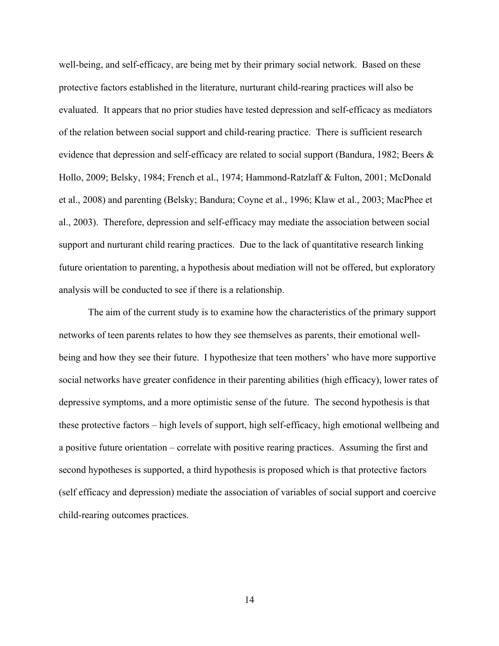well-being, and self-efficacy, are being met by their primary social network. Based on these protective factors established in the literature, nurturant child-rearing practices will also be evaluated. It appears that no prior studies have tested depression and self-efficacy as mediators of the relation between social support and child-rearing practice. There is sufficient research evidence that depression and self-efficacy are related to social support (Bandura, 1982; Beers & Hollo, 2009; Belsky, 1984; French et al., 1974; Hammond-Ratzlaff & Fulton, 2001; McDonald et al., 2008) and parenting (Belsky; Bandura; Coyne et al., 1996; Klaw et al., 2003; MacPhee et al., 2003). Therefore, depression and self-efficacy may mediate the association between social support and nurturant child rearing practices. Due to the lack of quantitative research linking future orientation to parenting, a hypothesis about mediation will not be offered, but exploratory analysis will be conducted to see if there is a relationship.

The aim of the current study is to examine how the characteristics of the primary support networks of teen parents relates to how they see themselves as parents, their emotional wellbeing and how they see their future. I hypothesize that teen mothers' who have more supportive social networks have greater confidence in their parenting abilities (high efficacy), lower rates of depressive symptoms, and a more optimistic sense of the future. The second hypothesis is that these protective factors – high levels of support, high self-efficacy, high emotional wellbeing and a positive future orientation – correlate with positive rearing practices. Assuming the first and second hypotheses is supported, a third hypothesis is proposed which is that protective factors (self efficacy and depression) mediate the association of variables of social support and coercive child-rearing outcomes practices.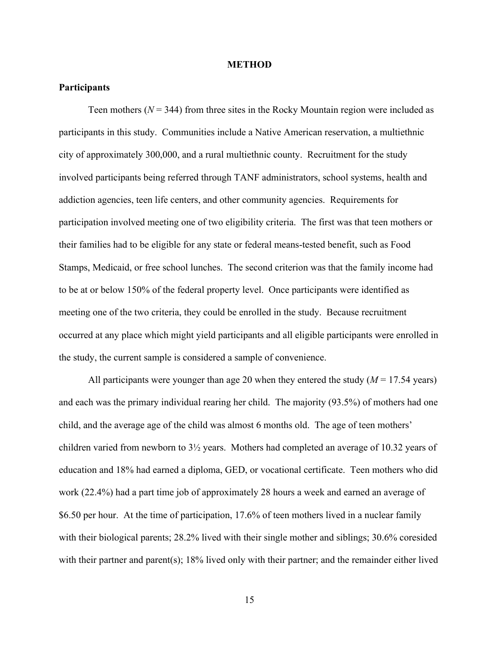#### **METHOD**

## **Participants**

Teen mothers  $(N = 344)$  from three sites in the Rocky Mountain region were included as participants in this study. Communities include a Native American reservation, a multiethnic city of approximately 300,000, and a rural multiethnic county. Recruitment for the study involved participants being referred through TANF administrators, school systems, health and addiction agencies, teen life centers, and other community agencies. Requirements for participation involved meeting one of two eligibility criteria. The first was that teen mothers or their families had to be eligible for any state or federal means-tested benefit, such as Food Stamps, Medicaid, or free school lunches. The second criterion was that the family income had to be at or below 150% of the federal property level. Once participants were identified as meeting one of the two criteria, they could be enrolled in the study. Because recruitment occurred at any place which might yield participants and all eligible participants were enrolled in the study, the current sample is considered a sample of convenience.

All participants were younger than age 20 when they entered the study  $(M = 17.54 \text{ years})$ and each was the primary individual rearing her child. The majority (93.5%) of mothers had one child, and the average age of the child was almost 6 months old. The age of teen mothers' children varied from newborn to 3½ years. Mothers had completed an average of 10.32 years of education and 18% had earned a diploma, GED, or vocational certificate. Teen mothers who did work (22.4%) had a part time job of approximately 28 hours a week and earned an average of \$6.50 per hour. At the time of participation, 17.6% of teen mothers lived in a nuclear family with their biological parents; 28.2% lived with their single mother and siblings; 30.6% coresided with their partner and parent(s); 18% lived only with their partner; and the remainder either lived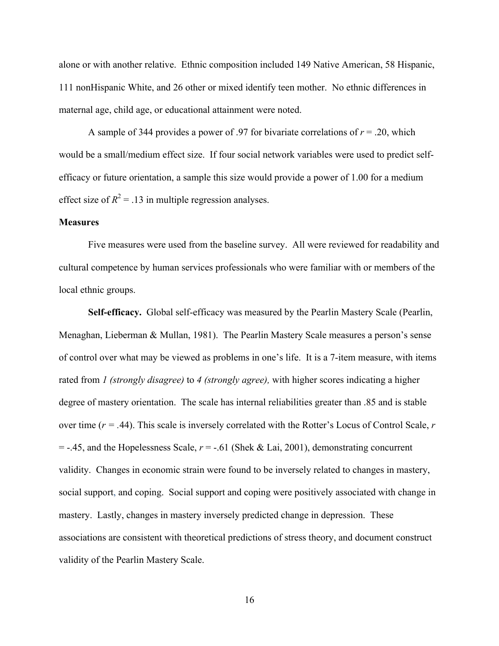alone or with another relative. Ethnic composition included 149 Native American, 58 Hispanic, 111 nonHispanic White, and 26 other or mixed identify teen mother. No ethnic differences in maternal age, child age, or educational attainment were noted.

A sample of 344 provides a power of .97 for bivariate correlations of  $r = .20$ , which would be a small/medium effect size. If four social network variables were used to predict selfefficacy or future orientation, a sample this size would provide a power of 1.00 for a medium effect size of  $R^2 = 0.13$  in multiple regression analyses.

## **Measures**

Five measures were used from the baseline survey. All were reviewed for readability and cultural competence by human services professionals who were familiar with or members of the local ethnic groups.

**Self-efficacy.** Global self-efficacy was measured by the Pearlin Mastery Scale (Pearlin, Menaghan, Lieberman & Mullan, 1981). The Pearlin Mastery Scale measures a person's sense of control over what may be viewed as problems in one's life. It is a 7-item measure, with items rated from *1 (strongly disagree)* to *4 (strongly agree),* with higher scores indicating a higher degree of mastery orientation. The scale has internal reliabilities greater than .85 and is stable over time (*r = .*44). This scale is inversely correlated with the Rotter's Locus of Control Scale, *r*  $=$  -.45, and the Hopelessness Scale,  $r = -0.61$  (Shek & Lai, 2001), demonstrating concurrent validity. Changes in economic strain were found to be inversely related to changes in mastery, social support, and coping. Social support and coping were positively associated with change in mastery. Lastly, changes in mastery inversely predicted change in depression. These associations are consistent with theoretical predictions of stress theory, and document construct validity of the Pearlin Mastery Scale.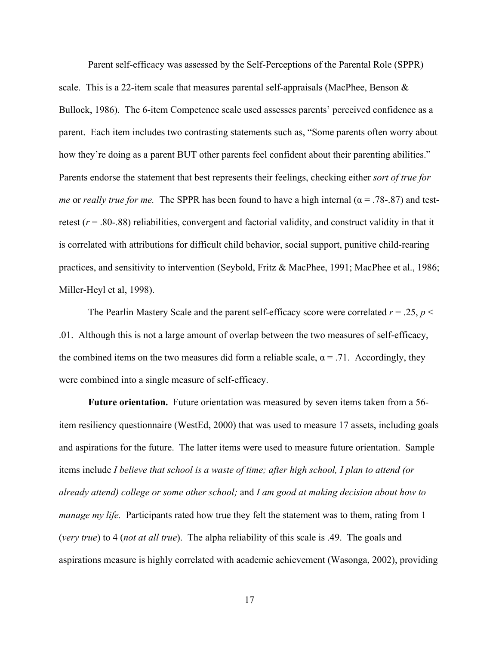Parent self-efficacy was assessed by the Self-Perceptions of the Parental Role (SPPR) scale. This is a 22-item scale that measures parental self-appraisals (MacPhee, Benson  $\&$ Bullock, 1986). The 6-item Competence scale used assesses parents' perceived confidence as a parent. Each item includes two contrasting statements such as, "Some parents often worry about how they're doing as a parent BUT other parents feel confident about their parenting abilities." Parents endorse the statement that best represents their feelings, checking either *sort of true for me* or *really true for me.* The SPPR has been found to have a high internal ( $\alpha$  = .78-.87) and testretest  $(r = .80-.88)$  reliabilities, convergent and factorial validity, and construct validity in that it is correlated with attributions for difficult child behavior, social support, punitive child-rearing practices, and sensitivity to intervention (Seybold, Fritz & MacPhee, 1991; MacPhee et al., 1986; Miller-Heyl et al, 1998).

The Pearlin Mastery Scale and the parent self-efficacy score were correlated  $r = .25$ ,  $p <$ .01. Although this is not a large amount of overlap between the two measures of self-efficacy, the combined items on the two measures did form a reliable scale,  $\alpha = .71$ . Accordingly, they were combined into a single measure of self-efficacy.

**Future orientation.** Future orientation was measured by seven items taken from a 56 item resiliency questionnaire (WestEd, 2000) that was used to measure 17 assets, including goals and aspirations for the future. The latter items were used to measure future orientation. Sample items include *I believe that school is a waste of time; after high school, I plan to attend (or already attend) college or some other school;* and *I am good at making decision about how to manage my life.* Participants rated how true they felt the statement was to them, rating from 1 (*very true*) to 4 (*not at all true*). The alpha reliability of this scale is .49. The goals and aspirations measure is highly correlated with academic achievement (Wasonga, 2002), providing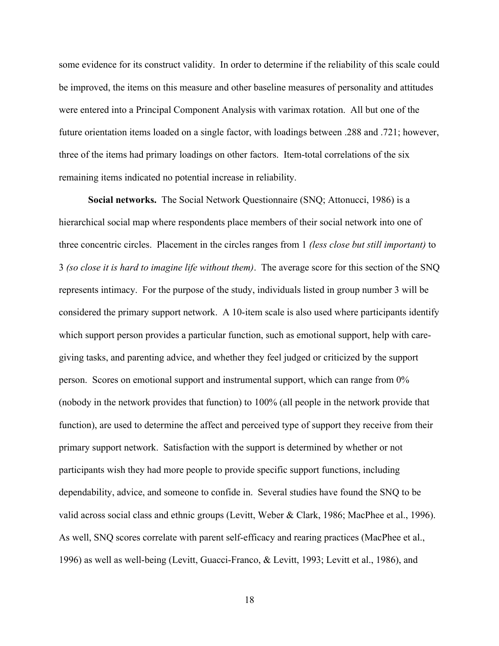some evidence for its construct validity. In order to determine if the reliability of this scale could be improved, the items on this measure and other baseline measures of personality and attitudes were entered into a Principal Component Analysis with varimax rotation. All but one of the future orientation items loaded on a single factor, with loadings between .288 and .721; however, three of the items had primary loadings on other factors. Item-total correlations of the six remaining items indicated no potential increase in reliability.

**Social networks.** The Social Network Questionnaire (SNQ; Attonucci, 1986) is a hierarchical social map where respondents place members of their social network into one of three concentric circles. Placement in the circles ranges from 1 *(less close but still important)* to 3 *(so close it is hard to imagine life without them)*. The average score for this section of the SNQ represents intimacy. For the purpose of the study, individuals listed in group number 3 will be considered the primary support network. A 10-item scale is also used where participants identify which support person provides a particular function, such as emotional support, help with caregiving tasks, and parenting advice, and whether they feel judged or criticized by the support person. Scores on emotional support and instrumental support, which can range from 0% (nobody in the network provides that function) to 100% (all people in the network provide that function), are used to determine the affect and perceived type of support they receive from their primary support network. Satisfaction with the support is determined by whether or not participants wish they had more people to provide specific support functions, including dependability, advice, and someone to confide in. Several studies have found the SNQ to be valid across social class and ethnic groups (Levitt, Weber & Clark, 1986; MacPhee et al., 1996). As well, SNQ scores correlate with parent self-efficacy and rearing practices (MacPhee et al., 1996) as well as well-being (Levitt, Guacci-Franco, & Levitt, 1993; Levitt et al., 1986), and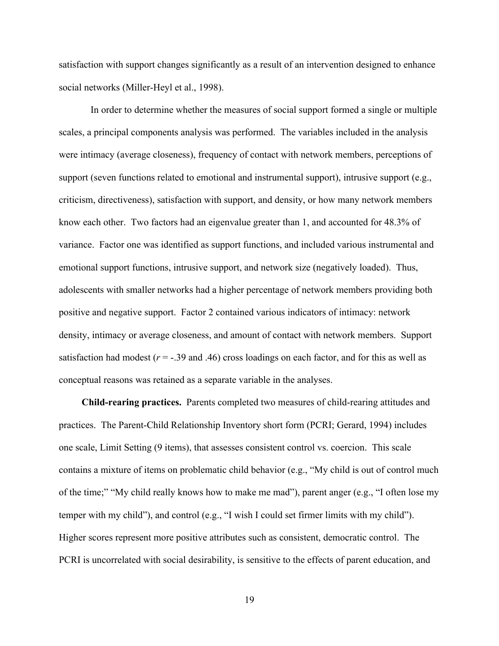satisfaction with support changes significantly as a result of an intervention designed to enhance social networks (Miller-Heyl et al., 1998).

 In order to determine whether the measures of social support formed a single or multiple scales, a principal components analysis was performed. The variables included in the analysis were intimacy (average closeness), frequency of contact with network members, perceptions of support (seven functions related to emotional and instrumental support), intrusive support (e.g., criticism, directiveness), satisfaction with support, and density, or how many network members know each other. Two factors had an eigenvalue greater than 1, and accounted for 48.3% of variance. Factor one was identified as support functions, and included various instrumental and emotional support functions, intrusive support, and network size (negatively loaded). Thus, adolescents with smaller networks had a higher percentage of network members providing both positive and negative support. Factor 2 contained various indicators of intimacy: network density, intimacy or average closeness, and amount of contact with network members. Support satisfaction had modest  $(r = -0.39)$  and .46) cross loadings on each factor, and for this as well as conceptual reasons was retained as a separate variable in the analyses.

**Child-rearing practices.** Parents completed two measures of child-rearing attitudes and practices. The Parent-Child Relationship Inventory short form (PCRI; Gerard, 1994) includes one scale, Limit Setting (9 items), that assesses consistent control vs. coercion. This scale contains a mixture of items on problematic child behavior (e.g., "My child is out of control much of the time;" "My child really knows how to make me mad"), parent anger (e.g., "I often lose my temper with my child"), and control (e.g., "I wish I could set firmer limits with my child"). Higher scores represent more positive attributes such as consistent, democratic control. The PCRI is uncorrelated with social desirability, is sensitive to the effects of parent education, and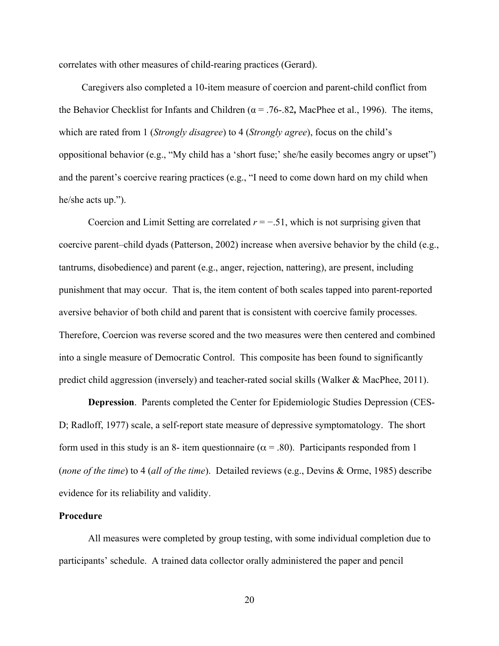correlates with other measures of child-rearing practices (Gerard).

Caregivers also completed a 10-item measure of coercion and parent-child conflict from the Behavior Checklist for Infants and Children ( $\alpha$  = .76-.82, MacPhee et al., 1996). The items, which are rated from 1 (*Strongly disagree*) to 4 (*Strongly agree*), focus on the child's oppositional behavior (e.g., "My child has a 'short fuse;' she/he easily becomes angry or upset") and the parent's coercive rearing practices (e.g., "I need to come down hard on my child when he/she acts up.").

Coercion and Limit Setting are correlated *r* = −.51, which is not surprising given that coercive parent–child dyads (Patterson, 2002) increase when aversive behavior by the child (e.g., tantrums, disobedience) and parent (e.g., anger, rejection, nattering), are present, including punishment that may occur. That is, the item content of both scales tapped into parent-reported aversive behavior of both child and parent that is consistent with coercive family processes. Therefore, Coercion was reverse scored and the two measures were then centered and combined into a single measure of Democratic Control. This composite has been found to significantly predict child aggression (inversely) and teacher-rated social skills (Walker & MacPhee, 2011).

**Depression**. Parents completed the Center for Epidemiologic Studies Depression (CES-D; Radloff, 1977) scale, a self-report state measure of depressive symptomatology. The short form used in this study is an 8- item questionnaire ( $\alpha$  = .80). Participants responded from 1 (*none of the time*) to 4 (*all of the time*). Detailed reviews (e.g., Devins & Orme, 1985) describe evidence for its reliability and validity.

## **Procedure**

All measures were completed by group testing, with some individual completion due to participants' schedule. A trained data collector orally administered the paper and pencil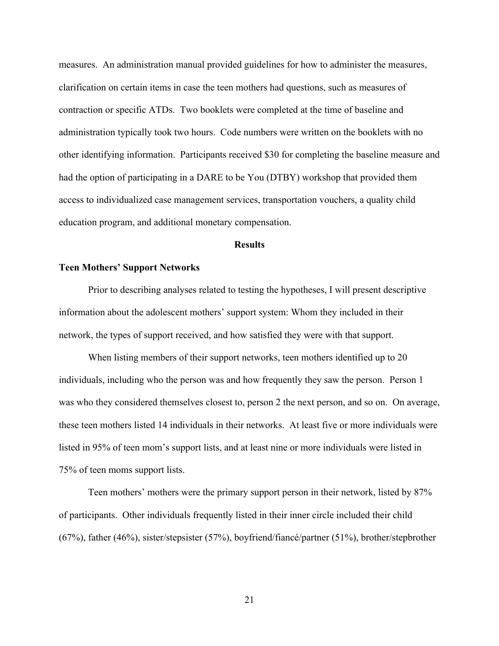measures. An administration manual provided guidelines for how to administer the measures, clarification on certain items in case the teen mothers had questions, such as measures of contraction or specific ATDs. Two booklets were completed at the time of baseline and administration typically took two hours. Code numbers were written on the booklets with no other identifying information. Participants received \$30 for completing the baseline measure and had the option of participating in a DARE to be You (DTBY) workshop that provided them access to individualized case management services, transportation vouchers, a quality child education program, and additional monetary compensation.

## **Results**

## **Teen Mothers' Support Networks**

Prior to describing analyses related to testing the hypotheses, I will present descriptive information about the adolescent mothers' support system: Whom they included in their network, the types of support received, and how satisfied they were with that support.

When listing members of their support networks, teen mothers identified up to 20 individuals, including who the person was and how frequently they saw the person. Person 1 was who they considered themselves closest to, person 2 the next person, and so on. On average, these teen mothers listed 14 individuals in their networks. At least five or more individuals were listed in 95% of teen mom's support lists, and at least nine or more individuals were listed in 75% of teen moms support lists.

Teen mothers' mothers were the primary support person in their network, listed by 87% of participants. Other individuals frequently listed in their inner circle included their child (67%), father (46%), sister/stepsister (57%), boyfriend/fiancé/partner (51%), brother/stepbrother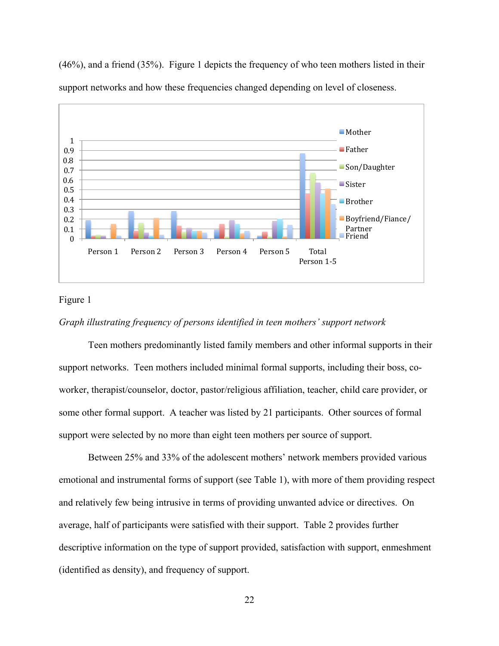

(46%), and a friend (35%). Figure 1 depicts the frequency of who teen mothers listed in their support networks and how these frequencies changed depending on level of closeness.

## Figure 1

## *Graph illustrating frequency of persons identified in teen mothers' support network*

Teen mothers predominantly listed family members and other informal supports in their support networks. Teen mothers included minimal formal supports, including their boss, coworker, therapist/counselor, doctor, pastor/religious affiliation, teacher, child care provider, or some other formal support. A teacher was listed by 21 participants. Other sources of formal support were selected by no more than eight teen mothers per source of support.

Between 25% and 33% of the adolescent mothers' network members provided various emotional and instrumental forms of support (see Table 1), with more of them providing respect and relatively few being intrusive in terms of providing unwanted advice or directives. On average, half of participants were satisfied with their support. Table 2 provides further descriptive information on the type of support provided, satisfaction with support, enmeshment (identified as density), and frequency of support.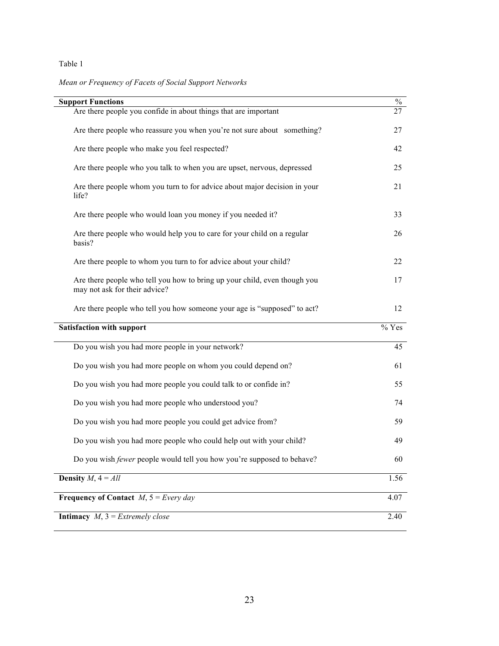## Table 1

*Mean or Frequency of Facets of Social Support Networks*

| <b>Support Functions</b>                                                                                   | $\%$    |  |  |  |
|------------------------------------------------------------------------------------------------------------|---------|--|--|--|
| Are there people you confide in about things that are important                                            | 27      |  |  |  |
| Are there people who reassure you when you're not sure about something?                                    | 27      |  |  |  |
| Are there people who make you feel respected?                                                              | 42      |  |  |  |
| Are there people who you talk to when you are upset, nervous, depressed                                    | 25      |  |  |  |
| Are there people whom you turn to for advice about major decision in your<br>life?                         | 21      |  |  |  |
| Are there people who would loan you money if you needed it?                                                | 33      |  |  |  |
| Are there people who would help you to care for your child on a regular<br>basis?                          | 26      |  |  |  |
| Are there people to whom you turn to for advice about your child?                                          | 22      |  |  |  |
| Are there people who tell you how to bring up your child, even though you<br>may not ask for their advice? | 17      |  |  |  |
| Are there people who tell you how someone your age is "supposed" to act?                                   | 12      |  |  |  |
| <b>Satisfaction with support</b>                                                                           | $%$ Yes |  |  |  |
| Do you wish you had more people in your network?                                                           | 45      |  |  |  |
| Do you wish you had more people on whom you could depend on?                                               | 61      |  |  |  |
| Do you wish you had more people you could talk to or confide in?                                           | 55      |  |  |  |
| Do you wish you had more people who understood you?                                                        | 74      |  |  |  |
| Do you wish you had more people you could get advice from?                                                 | 59      |  |  |  |
| Do you wish you had more people who could help out with your child?                                        | 49      |  |  |  |
| Do you wish fewer people would tell you how you're supposed to behave?                                     | 60      |  |  |  |
| <b>Density</b> $M$ , $4 = All$                                                                             |         |  |  |  |
| <b>Frequency of Contact</b> $M$ , $5 = Every day$                                                          |         |  |  |  |
| <b>Intimacy</b> $M$ , $3 = Extremely close$                                                                |         |  |  |  |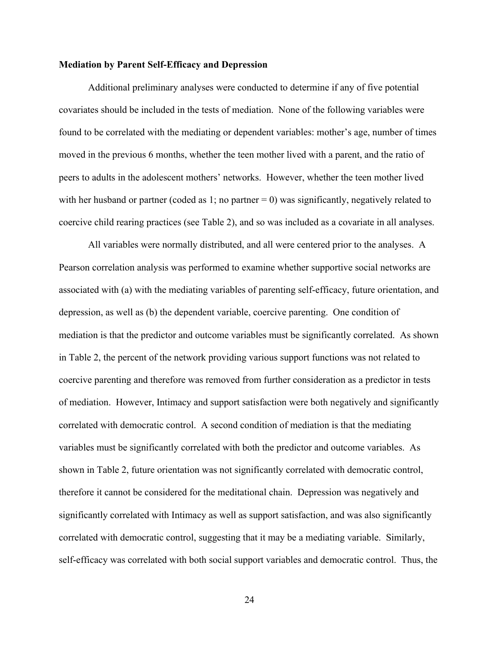## **Mediation by Parent Self-Efficacy and Depression**

Additional preliminary analyses were conducted to determine if any of five potential covariates should be included in the tests of mediation. None of the following variables were found to be correlated with the mediating or dependent variables: mother's age, number of times moved in the previous 6 months, whether the teen mother lived with a parent, and the ratio of peers to adults in the adolescent mothers' networks. However, whether the teen mother lived with her husband or partner (coded as 1; no partner  $= 0$ ) was significantly, negatively related to coercive child rearing practices (see Table 2), and so was included as a covariate in all analyses.

All variables were normally distributed, and all were centered prior to the analyses. A Pearson correlation analysis was performed to examine whether supportive social networks are associated with (a) with the mediating variables of parenting self-efficacy, future orientation, and depression, as well as (b) the dependent variable, coercive parenting. One condition of mediation is that the predictor and outcome variables must be significantly correlated. As shown in Table 2, the percent of the network providing various support functions was not related to coercive parenting and therefore was removed from further consideration as a predictor in tests of mediation. However, Intimacy and support satisfaction were both negatively and significantly correlated with democratic control. A second condition of mediation is that the mediating variables must be significantly correlated with both the predictor and outcome variables. As shown in Table 2, future orientation was not significantly correlated with democratic control, therefore it cannot be considered for the meditational chain. Depression was negatively and significantly correlated with Intimacy as well as support satisfaction, and was also significantly correlated with democratic control, suggesting that it may be a mediating variable. Similarly, self-efficacy was correlated with both social support variables and democratic control. Thus, the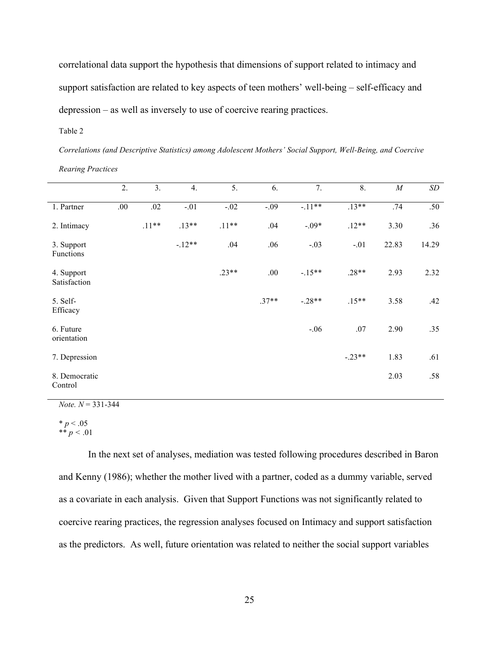correlational data support the hypothesis that dimensions of support related to intimacy and support satisfaction are related to key aspects of teen mothers' well-being – self-efficacy and depression – as well as inversely to use of coercive rearing practices.

Table 2

*Correlations (and Descriptive Statistics) among Adolescent Mothers' Social Support, Well-Being, and Coercive Rearing Practices*

|                            | 2.   | 3.      | 4.      | 5.      | 6.      | 7.       | 8.       | $\cal M$ | SD    |
|----------------------------|------|---------|---------|---------|---------|----------|----------|----------|-------|
| 1. Partner                 | .00. | .02     | $-.01$  | $-.02$  | $-.09$  | $-11**$  | $.13**$  | .74      | .50   |
| 2. Intimacy                |      | $.11**$ | $.13**$ | $.11**$ | .04     | $-.09*$  | $.12**$  | 3.30     | .36   |
| 3. Support<br>Functions    |      |         | $-12**$ | .04     | .06     | $-.03$   | $-.01$   | 22.83    | 14.29 |
| 4. Support<br>Satisfaction |      |         |         | $.23**$ | .00.    | $-15**$  | $.28**$  | 2.93     | 2.32  |
| 5. Self-<br>Efficacy       |      |         |         |         | $.37**$ | $-.28**$ | $.15**$  | 3.58     | .42   |
| 6. Future<br>orientation   |      |         |         |         |         | $-.06$   | $.07$    | 2.90     | .35   |
| 7. Depression              |      |         |         |         |         |          | $-.23**$ | 1.83     | .61   |
| 8. Democratic<br>Control   |      |         |         |         |         |          |          | 2.03     | .58   |

*Note. N* = 331-344

 $* p < .05$ \*\*  $p < 0.01$ 

In the next set of analyses, mediation was tested following procedures described in Baron and Kenny (1986); whether the mother lived with a partner, coded as a dummy variable, served as a covariate in each analysis. Given that Support Functions was not significantly related to coercive rearing practices, the regression analyses focused on Intimacy and support satisfaction as the predictors. As well, future orientation was related to neither the social support variables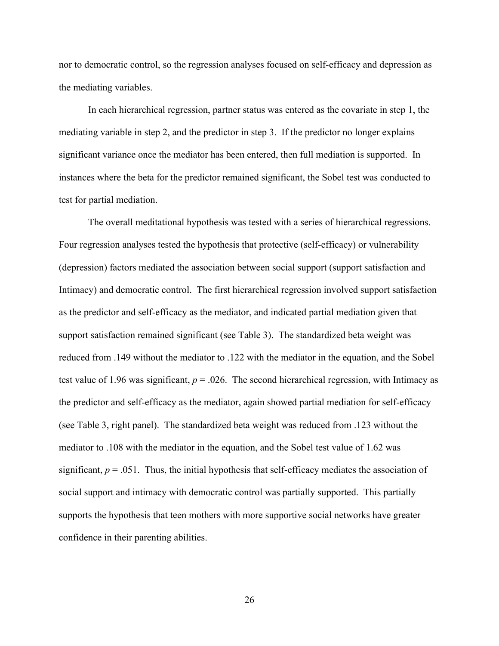nor to democratic control, so the regression analyses focused on self-efficacy and depression as the mediating variables.

In each hierarchical regression, partner status was entered as the covariate in step 1, the mediating variable in step 2, and the predictor in step 3. If the predictor no longer explains significant variance once the mediator has been entered, then full mediation is supported. In instances where the beta for the predictor remained significant, the Sobel test was conducted to test for partial mediation.

The overall meditational hypothesis was tested with a series of hierarchical regressions. Four regression analyses tested the hypothesis that protective (self-efficacy) or vulnerability (depression) factors mediated the association between social support (support satisfaction and Intimacy) and democratic control. The first hierarchical regression involved support satisfaction as the predictor and self-efficacy as the mediator, and indicated partial mediation given that support satisfaction remained significant (see Table 3). The standardized beta weight was reduced from .149 without the mediator to .122 with the mediator in the equation, and the Sobel test value of 1.96 was significant,  $p = 0.026$ . The second hierarchical regression, with Intimacy as the predictor and self-efficacy as the mediator, again showed partial mediation for self-efficacy (see Table 3, right panel). The standardized beta weight was reduced from .123 without the mediator to .108 with the mediator in the equation, and the Sobel test value of 1.62 was significant,  $p = .051$ . Thus, the initial hypothesis that self-efficacy mediates the association of social support and intimacy with democratic control was partially supported. This partially supports the hypothesis that teen mothers with more supportive social networks have greater confidence in their parenting abilities.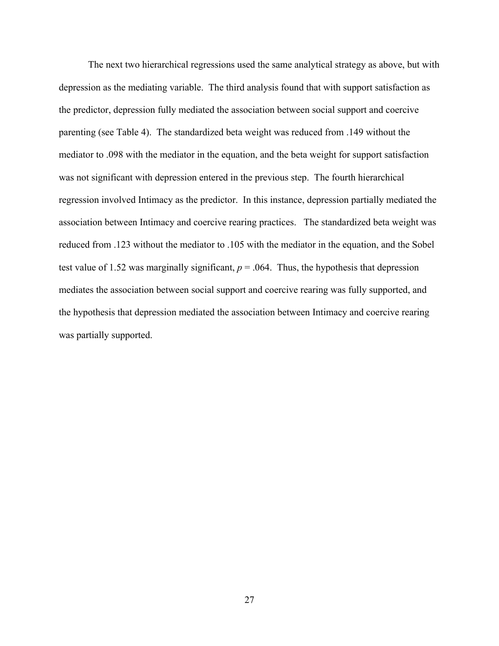The next two hierarchical regressions used the same analytical strategy as above, but with depression as the mediating variable. The third analysis found that with support satisfaction as the predictor, depression fully mediated the association between social support and coercive parenting (see Table 4). The standardized beta weight was reduced from .149 without the mediator to .098 with the mediator in the equation, and the beta weight for support satisfaction was not significant with depression entered in the previous step. The fourth hierarchical regression involved Intimacy as the predictor. In this instance, depression partially mediated the association between Intimacy and coercive rearing practices. The standardized beta weight was reduced from .123 without the mediator to .105 with the mediator in the equation, and the Sobel test value of 1.52 was marginally significant,  $p = 0.064$ . Thus, the hypothesis that depression mediates the association between social support and coercive rearing was fully supported, and the hypothesis that depression mediated the association between Intimacy and coercive rearing was partially supported.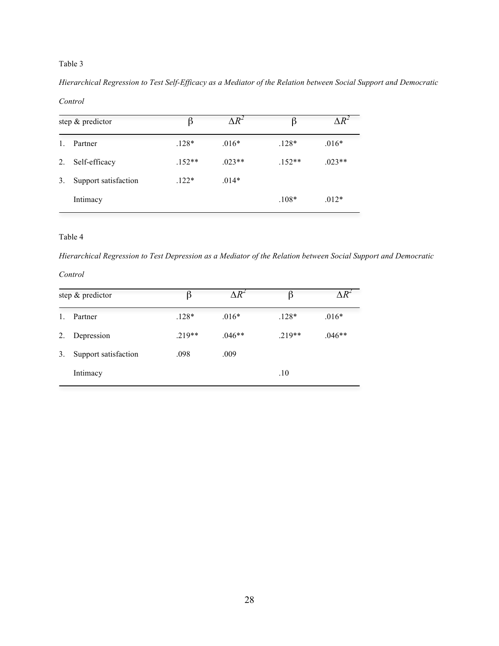## Table 3

*Hierarchical Regression to Test Self-Efficacy as a Mediator of the Relation between Social Support and Democratic* 

#### *Control*

| step & predictor |                      | ß        | $\Delta R^2$ | ß        | $\Delta R^2$ |  |
|------------------|----------------------|----------|--------------|----------|--------------|--|
|                  | Partner              | $.128*$  | $.016*$      | $.128*$  | $.016*$      |  |
| 2.               | Self-efficacy        | $.152**$ | $.023**$     | $.152**$ | $.023**$     |  |
| 3.               | Support satisfaction | $.122*$  | $.014*$      |          |              |  |
|                  | Intimacy             |          |              | $.108*$  | $.012*$      |  |

#### Table 4

*Hierarchical Regression to Test Depression as a Mediator of the Relation between Social Support and Democratic* 

## *Control*

| step & predictor |                      | β       | $\Lambda$ $R^2$ |          |          |  |
|------------------|----------------------|---------|-----------------|----------|----------|--|
|                  | Partner              | $.128*$ | $.016*$         | $.128*$  | $.016*$  |  |
| 2.               | Depression           | $219**$ | $.046**$        | $.219**$ | $.046**$ |  |
| 3.               | Support satisfaction | .098    | .009            |          |          |  |
|                  | Intimacy             |         |                 | .10      |          |  |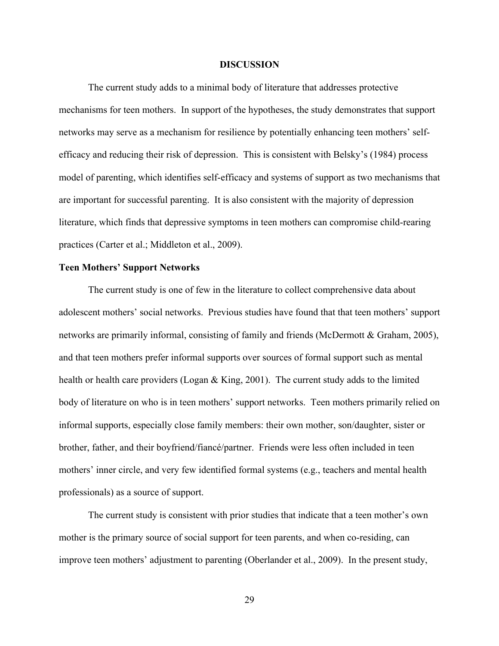## **DISCUSSION**

The current study adds to a minimal body of literature that addresses protective mechanisms for teen mothers. In support of the hypotheses, the study demonstrates that support networks may serve as a mechanism for resilience by potentially enhancing teen mothers' selfefficacy and reducing their risk of depression. This is consistent with Belsky's (1984) process model of parenting, which identifies self-efficacy and systems of support as two mechanisms that are important for successful parenting. It is also consistent with the majority of depression literature, which finds that depressive symptoms in teen mothers can compromise child-rearing practices (Carter et al.; Middleton et al., 2009).

## **Teen Mothers' Support Networks**

The current study is one of few in the literature to collect comprehensive data about adolescent mothers' social networks. Previous studies have found that that teen mothers' support networks are primarily informal, consisting of family and friends (McDermott & Graham, 2005), and that teen mothers prefer informal supports over sources of formal support such as mental health or health care providers (Logan & King, 2001). The current study adds to the limited body of literature on who is in teen mothers' support networks. Teen mothers primarily relied on informal supports, especially close family members: their own mother, son/daughter, sister or brother, father, and their boyfriend/fiancé/partner. Friends were less often included in teen mothers' inner circle, and very few identified formal systems (e.g., teachers and mental health professionals) as a source of support.

The current study is consistent with prior studies that indicate that a teen mother's own mother is the primary source of social support for teen parents, and when co-residing, can improve teen mothers' adjustment to parenting (Oberlander et al., 2009). In the present study,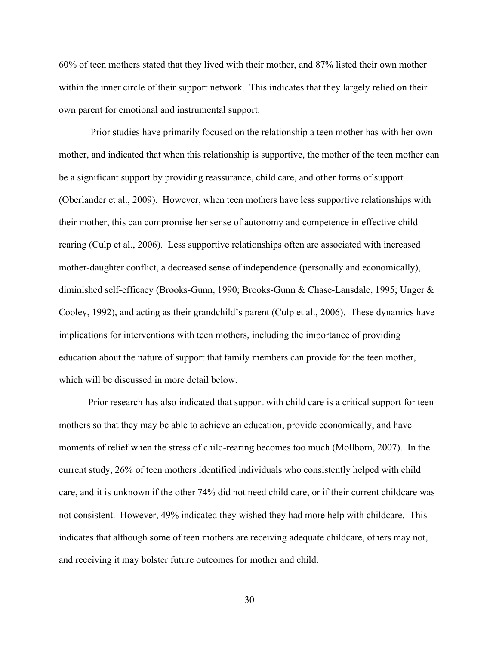60% of teen mothers stated that they lived with their mother, and 87% listed their own mother within the inner circle of their support network. This indicates that they largely relied on their own parent for emotional and instrumental support.

 Prior studies have primarily focused on the relationship a teen mother has with her own mother, and indicated that when this relationship is supportive, the mother of the teen mother can be a significant support by providing reassurance, child care, and other forms of support (Oberlander et al., 2009). However, when teen mothers have less supportive relationships with their mother, this can compromise her sense of autonomy and competence in effective child rearing (Culp et al., 2006). Less supportive relationships often are associated with increased mother-daughter conflict, a decreased sense of independence (personally and economically), diminished self-efficacy (Brooks-Gunn, 1990; Brooks-Gunn & Chase-Lansdale, 1995; Unger & Cooley, 1992), and acting as their grandchild's parent (Culp et al., 2006). These dynamics have implications for interventions with teen mothers, including the importance of providing education about the nature of support that family members can provide for the teen mother, which will be discussed in more detail below.

Prior research has also indicated that support with child care is a critical support for teen mothers so that they may be able to achieve an education, provide economically, and have moments of relief when the stress of child-rearing becomes too much (Mollborn, 2007). In the current study, 26% of teen mothers identified individuals who consistently helped with child care, and it is unknown if the other 74% did not need child care, or if their current childcare was not consistent. However, 49% indicated they wished they had more help with childcare. This indicates that although some of teen mothers are receiving adequate childcare, others may not, and receiving it may bolster future outcomes for mother and child.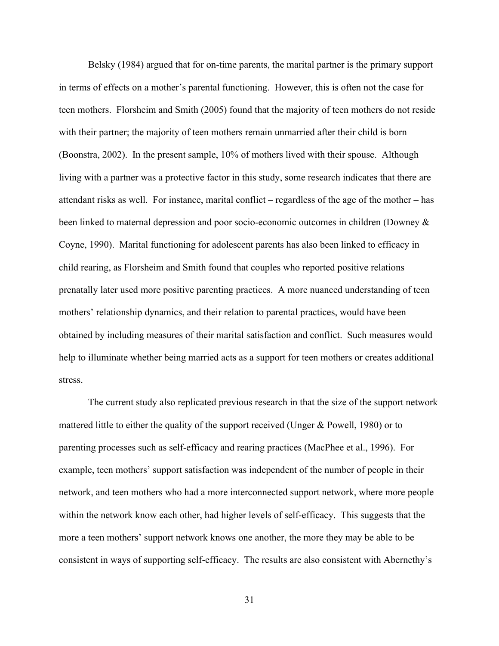Belsky (1984) argued that for on-time parents, the marital partner is the primary support in terms of effects on a mother's parental functioning. However, this is often not the case for teen mothers. Florsheim and Smith (2005) found that the majority of teen mothers do not reside with their partner; the majority of teen mothers remain unmarried after their child is born (Boonstra, 2002). In the present sample, 10% of mothers lived with their spouse. Although living with a partner was a protective factor in this study, some research indicates that there are attendant risks as well. For instance, marital conflict – regardless of the age of the mother – has been linked to maternal depression and poor socio-economic outcomes in children (Downey & Coyne, 1990). Marital functioning for adolescent parents has also been linked to efficacy in child rearing, as Florsheim and Smith found that couples who reported positive relations prenatally later used more positive parenting practices. A more nuanced understanding of teen mothers' relationship dynamics, and their relation to parental practices, would have been obtained by including measures of their marital satisfaction and conflict. Such measures would help to illuminate whether being married acts as a support for teen mothers or creates additional stress.

The current study also replicated previous research in that the size of the support network mattered little to either the quality of the support received (Unger & Powell, 1980) or to parenting processes such as self-efficacy and rearing practices (MacPhee et al., 1996). For example, teen mothers' support satisfaction was independent of the number of people in their network, and teen mothers who had a more interconnected support network, where more people within the network know each other, had higher levels of self-efficacy. This suggests that the more a teen mothers' support network knows one another, the more they may be able to be consistent in ways of supporting self-efficacy. The results are also consistent with Abernethy's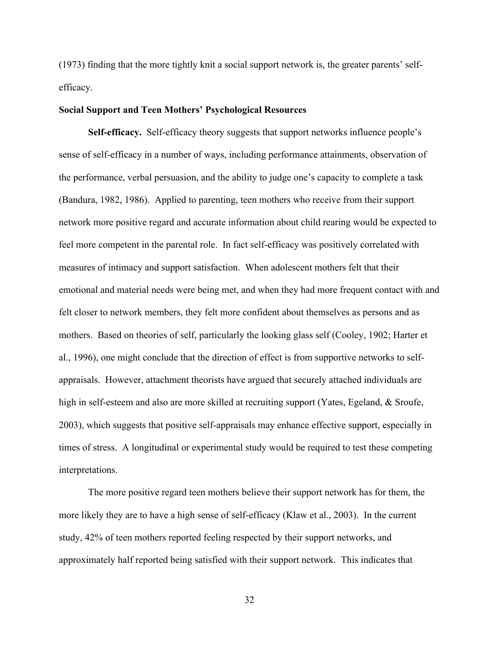(1973) finding that the more tightly knit a social support network is, the greater parents' selfefficacy.

## **Social Support and Teen Mothers' Psychological Resources**

**Self-efficacy.** Self-efficacy theory suggests that support networks influence people's sense of self-efficacy in a number of ways, including performance attainments, observation of the performance, verbal persuasion, and the ability to judge one's capacity to complete a task (Bandura, 1982, 1986). Applied to parenting, teen mothers who receive from their support network more positive regard and accurate information about child rearing would be expected to feel more competent in the parental role. In fact self-efficacy was positively correlated with measures of intimacy and support satisfaction. When adolescent mothers felt that their emotional and material needs were being met, and when they had more frequent contact with and felt closer to network members, they felt more confident about themselves as persons and as mothers. Based on theories of self, particularly the looking glass self (Cooley, 1902; Harter et al., 1996), one might conclude that the direction of effect is from supportive networks to selfappraisals. However, attachment theorists have argued that securely attached individuals are high in self-esteem and also are more skilled at recruiting support (Yates, Egeland, & Sroufe, 2003), which suggests that positive self-appraisals may enhance effective support, especially in times of stress. A longitudinal or experimental study would be required to test these competing interpretations.

The more positive regard teen mothers believe their support network has for them, the more likely they are to have a high sense of self-efficacy (Klaw et al., 2003). In the current study, 42% of teen mothers reported feeling respected by their support networks, and approximately half reported being satisfied with their support network. This indicates that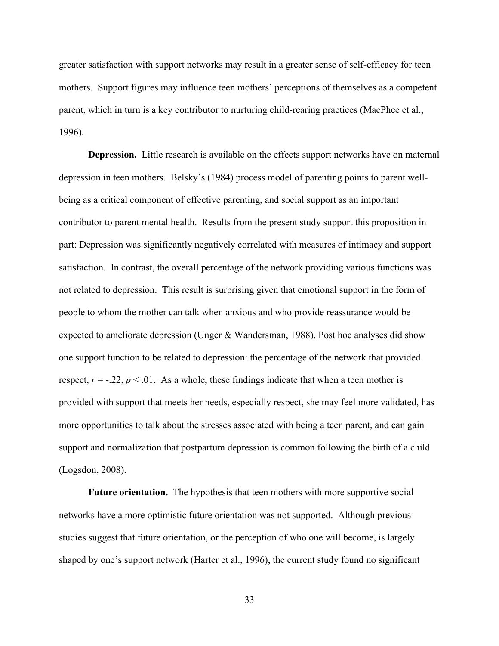greater satisfaction with support networks may result in a greater sense of self-efficacy for teen mothers. Support figures may influence teen mothers' perceptions of themselves as a competent parent, which in turn is a key contributor to nurturing child-rearing practices (MacPhee et al., 1996).

**Depression.** Little research is available on the effects support networks have on maternal depression in teen mothers. Belsky's (1984) process model of parenting points to parent wellbeing as a critical component of effective parenting, and social support as an important contributor to parent mental health. Results from the present study support this proposition in part: Depression was significantly negatively correlated with measures of intimacy and support satisfaction. In contrast, the overall percentage of the network providing various functions was not related to depression. This result is surprising given that emotional support in the form of people to whom the mother can talk when anxious and who provide reassurance would be expected to ameliorate depression (Unger & Wandersman, 1988). Post hoc analyses did show one support function to be related to depression: the percentage of the network that provided respect,  $r = -.22$ ,  $p < .01$ . As a whole, these findings indicate that when a teen mother is provided with support that meets her needs, especially respect, she may feel more validated, has more opportunities to talk about the stresses associated with being a teen parent, and can gain support and normalization that postpartum depression is common following the birth of a child (Logsdon, 2008).

**Future orientation.** The hypothesis that teen mothers with more supportive social networks have a more optimistic future orientation was not supported. Although previous studies suggest that future orientation, or the perception of who one will become, is largely shaped by one's support network (Harter et al., 1996), the current study found no significant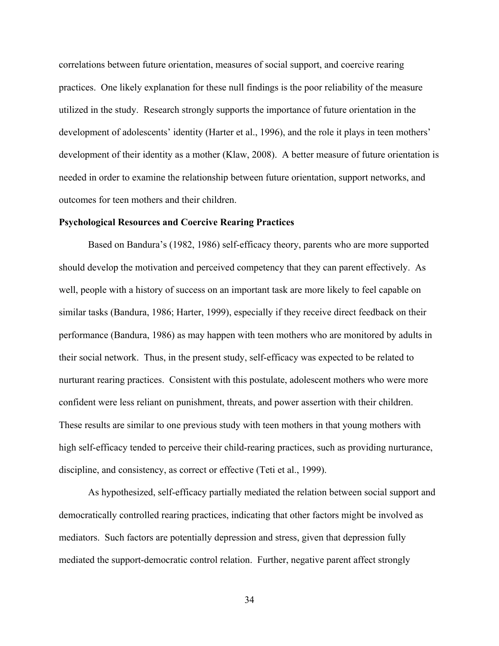correlations between future orientation, measures of social support, and coercive rearing practices. One likely explanation for these null findings is the poor reliability of the measure utilized in the study. Research strongly supports the importance of future orientation in the development of adolescents' identity (Harter et al., 1996), and the role it plays in teen mothers' development of their identity as a mother (Klaw, 2008). A better measure of future orientation is needed in order to examine the relationship between future orientation, support networks, and outcomes for teen mothers and their children.

## **Psychological Resources and Coercive Rearing Practices**

Based on Bandura's (1982, 1986) self-efficacy theory, parents who are more supported should develop the motivation and perceived competency that they can parent effectively. As well, people with a history of success on an important task are more likely to feel capable on similar tasks (Bandura, 1986; Harter, 1999), especially if they receive direct feedback on their performance (Bandura, 1986) as may happen with teen mothers who are monitored by adults in their social network. Thus, in the present study, self-efficacy was expected to be related to nurturant rearing practices. Consistent with this postulate, adolescent mothers who were more confident were less reliant on punishment, threats, and power assertion with their children. These results are similar to one previous study with teen mothers in that young mothers with high self-efficacy tended to perceive their child-rearing practices, such as providing nurturance, discipline, and consistency, as correct or effective (Teti et al., 1999).

As hypothesized, self-efficacy partially mediated the relation between social support and democratically controlled rearing practices, indicating that other factors might be involved as mediators. Such factors are potentially depression and stress, given that depression fully mediated the support-democratic control relation. Further, negative parent affect strongly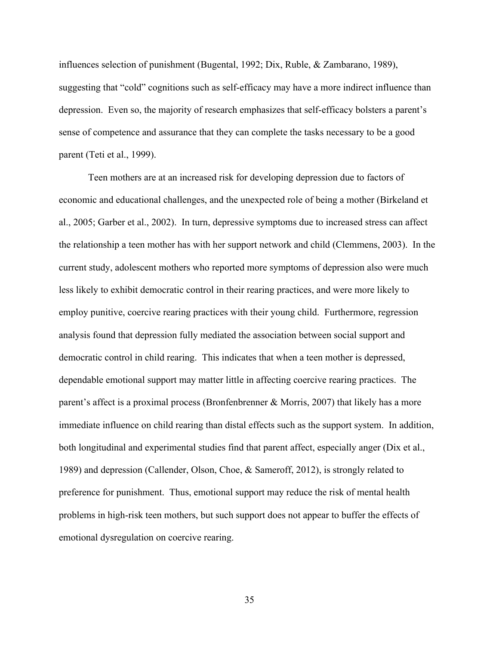influences selection of punishment (Bugental, 1992; Dix, Ruble, & Zambarano, 1989), suggesting that "cold" cognitions such as self-efficacy may have a more indirect influence than depression. Even so, the majority of research emphasizes that self-efficacy bolsters a parent's sense of competence and assurance that they can complete the tasks necessary to be a good parent (Teti et al., 1999).

Teen mothers are at an increased risk for developing depression due to factors of economic and educational challenges, and the unexpected role of being a mother (Birkeland et al., 2005; Garber et al., 2002). In turn, depressive symptoms due to increased stress can affect the relationship a teen mother has with her support network and child (Clemmens, 2003). In the current study, adolescent mothers who reported more symptoms of depression also were much less likely to exhibit democratic control in their rearing practices, and were more likely to employ punitive, coercive rearing practices with their young child. Furthermore, regression analysis found that depression fully mediated the association between social support and democratic control in child rearing. This indicates that when a teen mother is depressed, dependable emotional support may matter little in affecting coercive rearing practices. The parent's affect is a proximal process (Bronfenbrenner & Morris, 2007) that likely has a more immediate influence on child rearing than distal effects such as the support system. In addition, both longitudinal and experimental studies find that parent affect, especially anger (Dix et al., 1989) and depression (Callender, Olson, Choe, & Sameroff, 2012), is strongly related to preference for punishment. Thus, emotional support may reduce the risk of mental health problems in high-risk teen mothers, but such support does not appear to buffer the effects of emotional dysregulation on coercive rearing.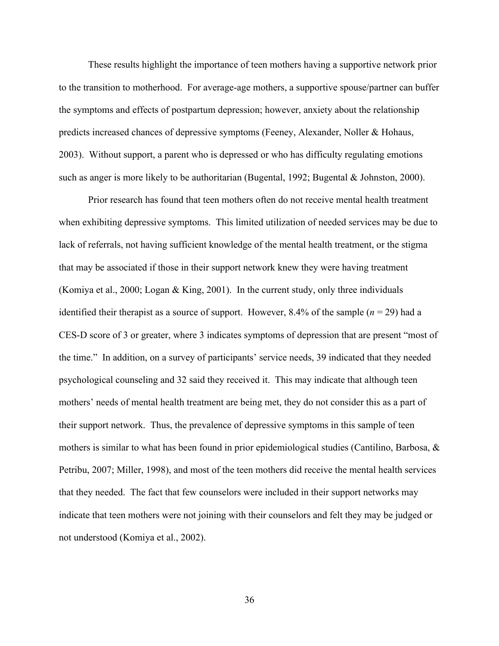These results highlight the importance of teen mothers having a supportive network prior to the transition to motherhood. For average-age mothers, a supportive spouse/partner can buffer the symptoms and effects of postpartum depression; however, anxiety about the relationship predicts increased chances of depressive symptoms (Feeney, Alexander, Noller & Hohaus, 2003). Without support, a parent who is depressed or who has difficulty regulating emotions such as anger is more likely to be authoritarian (Bugental, 1992; Bugental & Johnston, 2000).

Prior research has found that teen mothers often do not receive mental health treatment when exhibiting depressive symptoms. This limited utilization of needed services may be due to lack of referrals, not having sufficient knowledge of the mental health treatment, or the stigma that may be associated if those in their support network knew they were having treatment (Komiya et al., 2000; Logan & King, 2001). In the current study, only three individuals identified their therapist as a source of support. However,  $8.4\%$  of the sample ( $n = 29$ ) had a CES-D score of 3 or greater, where 3 indicates symptoms of depression that are present "most of the time." In addition, on a survey of participants' service needs, 39 indicated that they needed psychological counseling and 32 said they received it. This may indicate that although teen mothers' needs of mental health treatment are being met, they do not consider this as a part of their support network. Thus, the prevalence of depressive symptoms in this sample of teen mothers is similar to what has been found in prior epidemiological studies (Cantilino, Barbosa,  $\&$ Petribu, 2007; Miller, 1998), and most of the teen mothers did receive the mental health services that they needed. The fact that few counselors were included in their support networks may indicate that teen mothers were not joining with their counselors and felt they may be judged or not understood (Komiya et al., 2002).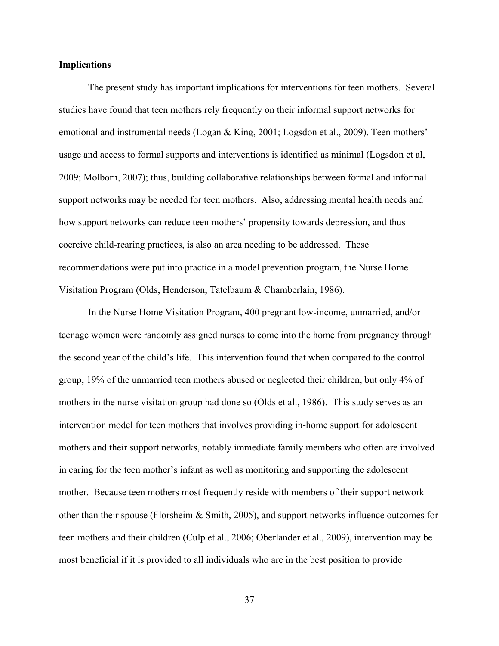## **Implications**

The present study has important implications for interventions for teen mothers. Several studies have found that teen mothers rely frequently on their informal support networks for emotional and instrumental needs (Logan & King, 2001; Logsdon et al., 2009). Teen mothers' usage and access to formal supports and interventions is identified as minimal (Logsdon et al, 2009; Molborn, 2007); thus, building collaborative relationships between formal and informal support networks may be needed for teen mothers. Also, addressing mental health needs and how support networks can reduce teen mothers' propensity towards depression, and thus coercive child-rearing practices, is also an area needing to be addressed. These recommendations were put into practice in a model prevention program, the Nurse Home Visitation Program (Olds, Henderson, Tatelbaum & Chamberlain, 1986).

In the Nurse Home Visitation Program, 400 pregnant low-income, unmarried, and/or teenage women were randomly assigned nurses to come into the home from pregnancy through the second year of the child's life. This intervention found that when compared to the control group, 19% of the unmarried teen mothers abused or neglected their children, but only 4% of mothers in the nurse visitation group had done so (Olds et al., 1986). This study serves as an intervention model for teen mothers that involves providing in-home support for adolescent mothers and their support networks, notably immediate family members who often are involved in caring for the teen mother's infant as well as monitoring and supporting the adolescent mother. Because teen mothers most frequently reside with members of their support network other than their spouse (Florsheim  $\&$  Smith, 2005), and support networks influence outcomes for teen mothers and their children (Culp et al., 2006; Oberlander et al., 2009), intervention may be most beneficial if it is provided to all individuals who are in the best position to provide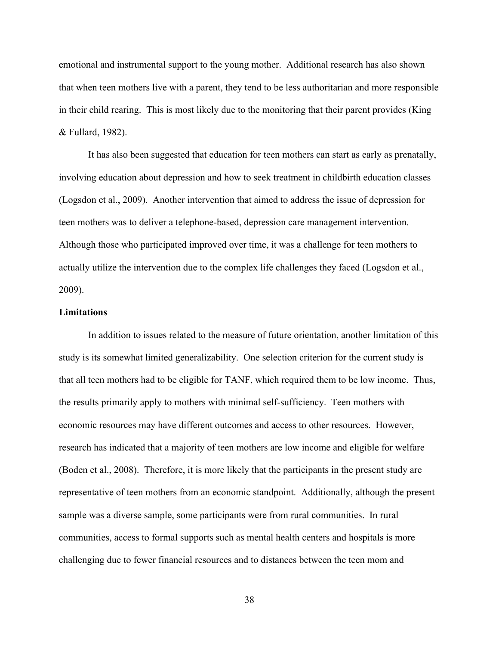emotional and instrumental support to the young mother. Additional research has also shown that when teen mothers live with a parent, they tend to be less authoritarian and more responsible in their child rearing. This is most likely due to the monitoring that their parent provides (King & Fullard, 1982).

It has also been suggested that education for teen mothers can start as early as prenatally, involving education about depression and how to seek treatment in childbirth education classes (Logsdon et al., 2009). Another intervention that aimed to address the issue of depression for teen mothers was to deliver a telephone-based, depression care management intervention. Although those who participated improved over time, it was a challenge for teen mothers to actually utilize the intervention due to the complex life challenges they faced (Logsdon et al., 2009).

## **Limitations**

In addition to issues related to the measure of future orientation, another limitation of this study is its somewhat limited generalizability. One selection criterion for the current study is that all teen mothers had to be eligible for TANF, which required them to be low income. Thus, the results primarily apply to mothers with minimal self-sufficiency. Teen mothers with economic resources may have different outcomes and access to other resources. However, research has indicated that a majority of teen mothers are low income and eligible for welfare (Boden et al., 2008). Therefore, it is more likely that the participants in the present study are representative of teen mothers from an economic standpoint. Additionally, although the present sample was a diverse sample, some participants were from rural communities. In rural communities, access to formal supports such as mental health centers and hospitals is more challenging due to fewer financial resources and to distances between the teen mom and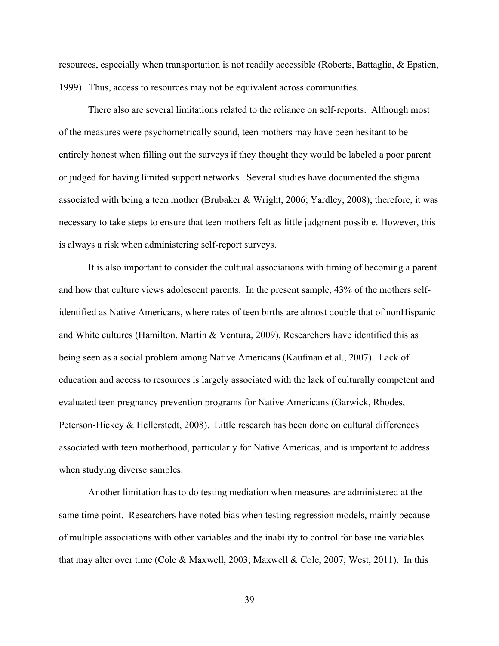resources, especially when transportation is not readily accessible (Roberts, Battaglia, & Epstien, 1999). Thus, access to resources may not be equivalent across communities.

There also are several limitations related to the reliance on self-reports. Although most of the measures were psychometrically sound, teen mothers may have been hesitant to be entirely honest when filling out the surveys if they thought they would be labeled a poor parent or judged for having limited support networks. Several studies have documented the stigma associated with being a teen mother (Brubaker & Wright, 2006; Yardley, 2008); therefore, it was necessary to take steps to ensure that teen mothers felt as little judgment possible. However, this is always a risk when administering self-report surveys.

It is also important to consider the cultural associations with timing of becoming a parent and how that culture views adolescent parents. In the present sample, 43% of the mothers selfidentified as Native Americans, where rates of teen births are almost double that of nonHispanic and White cultures (Hamilton, Martin & Ventura, 2009). Researchers have identified this as being seen as a social problem among Native Americans (Kaufman et al., 2007). Lack of education and access to resources is largely associated with the lack of culturally competent and evaluated teen pregnancy prevention programs for Native Americans (Garwick, Rhodes, Peterson-Hickey & Hellerstedt, 2008). Little research has been done on cultural differences associated with teen motherhood, particularly for Native Americas, and is important to address when studying diverse samples.

Another limitation has to do testing mediation when measures are administered at the same time point. Researchers have noted bias when testing regression models, mainly because of multiple associations with other variables and the inability to control for baseline variables that may alter over time (Cole & Maxwell, 2003; Maxwell & Cole, 2007; West, 2011). In this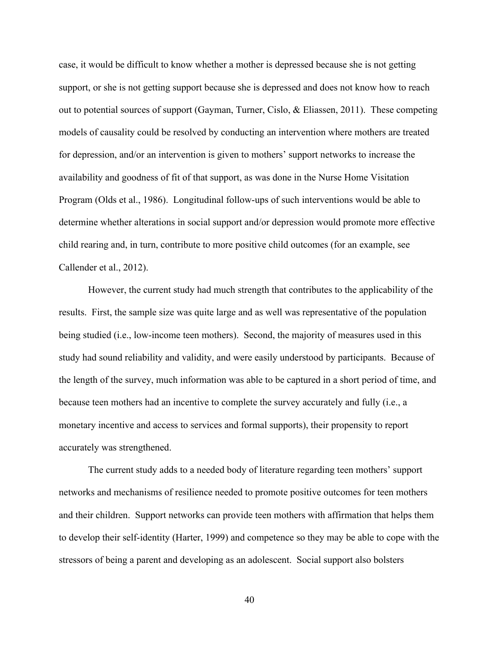case, it would be difficult to know whether a mother is depressed because she is not getting support, or she is not getting support because she is depressed and does not know how to reach out to potential sources of support (Gayman, Turner, Cislo, & Eliassen, 2011). These competing models of causality could be resolved by conducting an intervention where mothers are treated for depression, and/or an intervention is given to mothers' support networks to increase the availability and goodness of fit of that support, as was done in the Nurse Home Visitation Program (Olds et al., 1986). Longitudinal follow-ups of such interventions would be able to determine whether alterations in social support and/or depression would promote more effective child rearing and, in turn, contribute to more positive child outcomes (for an example, see Callender et al., 2012).

However, the current study had much strength that contributes to the applicability of the results. First, the sample size was quite large and as well was representative of the population being studied (i.e., low-income teen mothers). Second, the majority of measures used in this study had sound reliability and validity, and were easily understood by participants. Because of the length of the survey, much information was able to be captured in a short period of time, and because teen mothers had an incentive to complete the survey accurately and fully (i.e., a monetary incentive and access to services and formal supports), their propensity to report accurately was strengthened.

The current study adds to a needed body of literature regarding teen mothers' support networks and mechanisms of resilience needed to promote positive outcomes for teen mothers and their children. Support networks can provide teen mothers with affirmation that helps them to develop their self-identity (Harter, 1999) and competence so they may be able to cope with the stressors of being a parent and developing as an adolescent. Social support also bolsters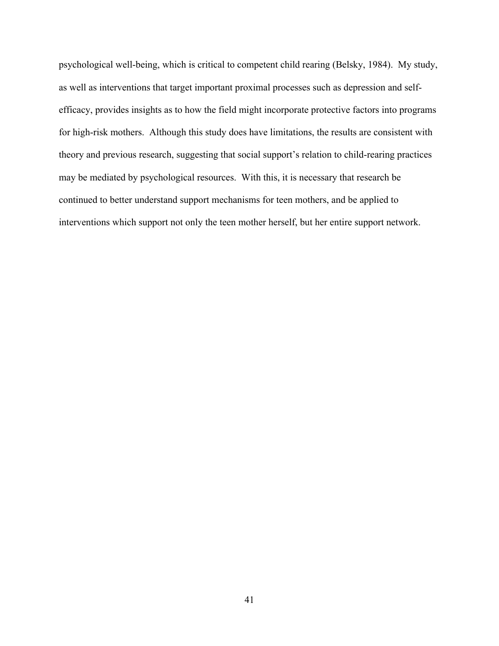psychological well-being, which is critical to competent child rearing (Belsky, 1984). My study, as well as interventions that target important proximal processes such as depression and selfefficacy, provides insights as to how the field might incorporate protective factors into programs for high-risk mothers. Although this study does have limitations, the results are consistent with theory and previous research, suggesting that social support's relation to child-rearing practices may be mediated by psychological resources. With this, it is necessary that research be continued to better understand support mechanisms for teen mothers, and be applied to interventions which support not only the teen mother herself, but her entire support network.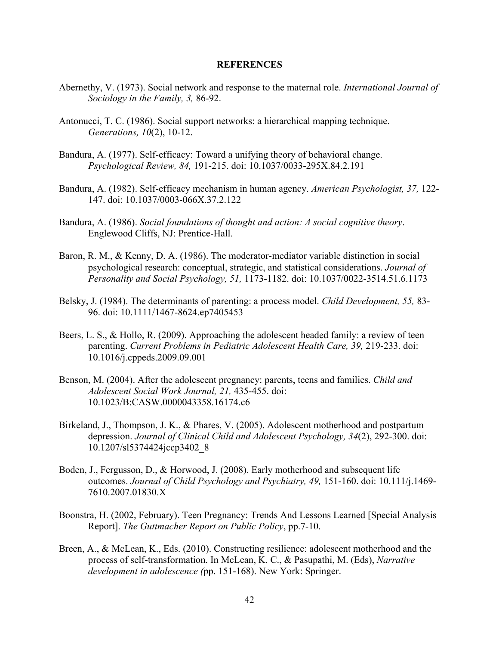## **REFERENCES**

- Abernethy, V. (1973). Social network and response to the maternal role. *International Journal of Sociology in the Family, 3,* 86-92.
- Antonucci, T. C. (1986). Social support networks: a hierarchical mapping technique. *Generations, 10*(2), 10-12.
- Bandura, A. (1977). Self-efficacy: Toward a unifying theory of behavioral change. *Psychological Review, 84,* 191-215. doi: 10.1037/0033-295X.84.2.191
- Bandura, A. (1982). Self-efficacy mechanism in human agency. *American Psychologist, 37,* 122- 147. doi: 10.1037/0003-066X.37.2.122
- Bandura, A. (1986). *Social foundations of thought and action: A social cognitive theory*. Englewood Cliffs, NJ: Prentice-Hall.
- Baron, R. M., & Kenny, D. A. (1986). The moderator-mediator variable distinction in social psychological research: conceptual, strategic, and statistical considerations. *Journal of Personality and Social Psychology, 51,* 1173-1182. doi: 10.1037/0022-3514.51.6.1173
- Belsky, J. (1984). The determinants of parenting: a process model. *Child Development, 55,* 83- 96. doi: 10.1111/1467-8624.ep7405453
- Beers, L. S., & Hollo, R. (2009). Approaching the adolescent headed family: a review of teen parenting. *Current Problems in Pediatric Adolescent Health Care, 39, 219-233. doi:* 10.1016/j.cppeds.2009.09.001
- Benson, M. (2004). After the adolescent pregnancy: parents, teens and families. *Child and Adolescent Social Work Journal, 21,* 435-455. doi: 10.1023/B:CASW.0000043358.16174.c6
- Birkeland, J., Thompson, J. K., & Phares, V. (2005). Adolescent motherhood and postpartum depression. *Journal of Clinical Child and Adolescent Psychology, 34*(2), 292-300. doi: 10.1207/sl5374424jccp3402\_8
- Boden, J., Fergusson, D., & Horwood, J. (2008). Early motherhood and subsequent life outcomes. *Journal of Child Psychology and Psychiatry, 49,* 151-160. doi: 10.111/j.1469- 7610.2007.01830.X
- Boonstra, H. (2002, February). Teen Pregnancy: Trends And Lessons Learned [Special Analysis Report]. *The Guttmacher Report on Public Policy*, pp.7-10.
- Breen, A., & McLean, K., Eds. (2010). Constructing resilience: adolescent motherhood and the process of self-transformation. In McLean, K. C., & Pasupathi, M. (Eds), *Narrative development in adolescence (*pp. 151-168). New York: Springer.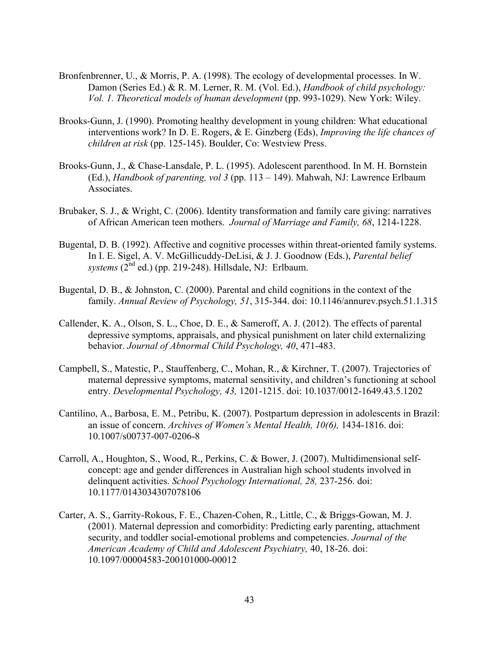- Bronfenbrenner, U., & Morris, P. A. (1998). The ecology of developmental processes. In W. Damon (Series Ed.) & R. M. Lerner, R. M. (Vol. Ed.), *Handbook of child psychology: Vol. 1. Theoretical models of human development* (pp. 993-1029). New York: Wiley.
- Brooks-Gunn, J. (1990). Promoting healthy development in young children: What educational interventions work? In D. E. Rogers, & E. Ginzberg (Eds), *Improving the life chances of children at risk* (pp. 125-145). Boulder, Co: Westview Press.
- Brooks-Gunn, J., & Chase-Lansdale, P. L. (1995). Adolescent parenthood. In M. H. Bornstein (Ed.), *Handbook of parenting, vol 3* (pp. 113 – 149). Mahwah, NJ: Lawrence Erlbaum Associates.
- Brubaker, S. J., & Wright, C. (2006). Identity transformation and family care giving: narratives of African American teen mothers. *Journal of Marriage and Family, 68*, 1214-1228.
- Bugental, D. B. (1992). Affective and cognitive processes within threat-oriented family systems. In I. E. Sigel, A. V. McGillicuddy-DeLisi, & J. J. Goodnow (Eds.), *Parental belief systems* (2nd ed.) (pp. 219-248). Hillsdale, NJ: Erlbaum.
- Bugental, D. B., & Johnston, C. (2000). Parental and child cognitions in the context of the family. *Annual Review of Psychology, 51*, 315-344. doi: 10.1146/annurev.psych.51.1.315
- Callender, K. A., Olson, S. L., Choe, D. E., & Sameroff, A. J. (2012). The effects of parental depressive symptoms, appraisals, and physical punishment on later child externalizing behavior. *Journal of Abnormal Child Psychology, 40*, 471-483.
- Campbell, S., Matestic, P., Stauffenberg, C., Mohan, R., & Kirchner, T. (2007). Trajectories of maternal depressive symptoms, maternal sensitivity, and children's functioning at school entry. *Developmental Psychology, 43,* 1201-1215. doi: 10.1037/0012-1649.43.5.1202
- Cantilino, A., Barbosa, E. M., Petribu, K. (2007). Postpartum depression in adolescents in Brazil: an issue of concern. *Archives of Women's Mental Health, 10(6),* 1434-1816. doi: 10.1007/s00737-007-0206-8
- Carroll, A., Houghton, S., Wood, R., Perkins, C. & Bower, J. (2007). Multidimensional selfconcept: age and gender differences in Australian high school students involved in delinquent activities. *School Psychology International, 28,* 237-256. doi: 10.1177/0143034307078106
- Carter, A. S., Garrity-Rokous, F. E., Chazen-Cohen, R., Little, C., & Briggs-Gowan, M. J. (2001). Maternal depression and comorbidity: Predicting early parenting, attachment security, and toddler social-emotional problems and competencies. *Journal of the American Academy of Child and Adolescent Psychiatry,* 40, 18-26. doi: 10.1097/00004583-200101000-00012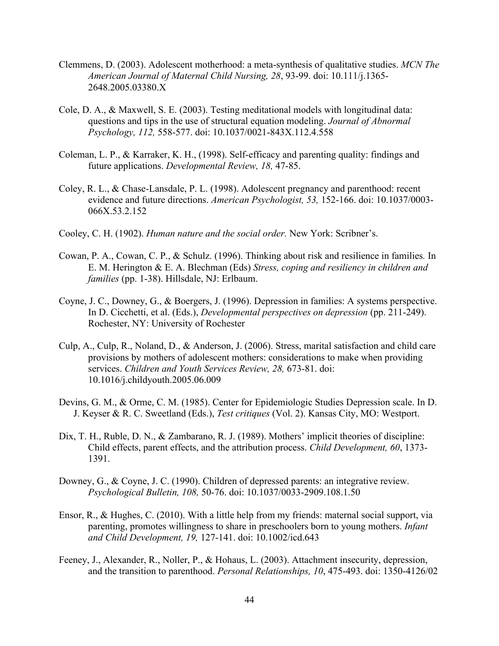- Clemmens, D. (2003). Adolescent motherhood: a meta-synthesis of qualitative studies. *MCN The American Journal of Maternal Child Nursing, 28*, 93-99. doi: 10.111/j.1365- 2648.2005.03380.X
- Cole, D. A., & Maxwell, S. E. (2003). Testing meditational models with longitudinal data: questions and tips in the use of structural equation modeling. *Journal of Abnormal Psychology, 112,* 558-577. doi: 10.1037/0021-843X.112.4.558
- Coleman, L. P., & Karraker, K. H., (1998). Self-efficacy and parenting quality: findings and future applications. *Developmental Review, 18,* 47-85.
- Coley, R. L., & Chase-Lansdale, P. L. (1998). Adolescent pregnancy and parenthood: recent evidence and future directions. *American Psychologist, 53,* 152-166. doi: 10.1037/0003- 066X.53.2.152
- Cooley, C. H. (1902). *Human nature and the social order.* New York: Scribner's.
- Cowan, P. A., Cowan, C. P., & Schulz. (1996). Thinking about risk and resilience in families*.* In E. M. Herington & E. A. Blechman (Eds) *Stress, coping and resiliency in children and families* (pp. 1-38). Hillsdale, NJ: Erlbaum.
- Coyne, J. C., Downey, G., & Boergers, J. (1996). Depression in families: A systems perspective. In D. Cicchetti, et al. (Eds.), *Developmental perspectives on depression* (pp. 211-249). Rochester, NY: University of Rochester
- Culp, A., Culp, R., Noland, D., & Anderson, J. (2006). Stress, marital satisfaction and child care provisions by mothers of adolescent mothers: considerations to make when providing services. *Children and Youth Services Review, 28,* 673-81. doi: 10.1016/j.childyouth.2005.06.009
- Devins, G. M., & Orme, C. M. (1985). Center for Epidemiologic Studies Depression scale. In D. J. Keyser & R. C. Sweetland (Eds.), *Test critiques* (Vol. 2). Kansas City, MO: Westport.
- Dix, T. H., Ruble, D. N., & Zambarano, R. J. (1989). Mothers' implicit theories of discipline: Child effects, parent effects, and the attribution process. *Child Development, 60*, 1373- 1391.
- Downey, G., & Coyne, J. C. (1990). Children of depressed parents: an integrative review. *Psychological Bulletin, 108,* 50-76. doi: 10.1037/0033-2909.108.1.50
- Ensor, R., & Hughes, C. (2010). With a little help from my friends: maternal social support, via parenting, promotes willingness to share in preschoolers born to young mothers. *Infant and Child Development, 19,* 127-141. doi: 10.1002/icd.643
- Feeney, J., Alexander, R., Noller, P., & Hohaus, L. (2003). Attachment insecurity, depression, and the transition to parenthood. *Personal Relationships, 10*, 475-493. doi: 1350-4126/02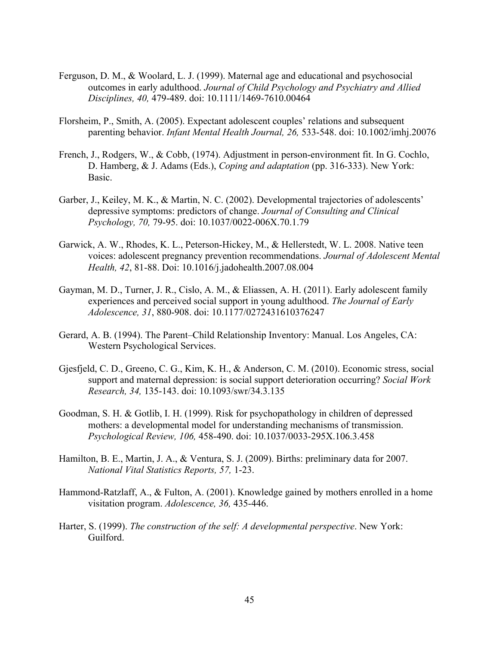- Ferguson, D. M., & Woolard, L. J. (1999). Maternal age and educational and psychosocial outcomes in early adulthood. *Journal of Child Psychology and Psychiatry and Allied Disciplines, 40,* 479-489. doi: 10.1111/1469-7610.00464
- Florsheim, P., Smith, A. (2005). Expectant adolescent couples' relations and subsequent parenting behavior. *Infant Mental Health Journal, 26,* 533-548. doi: 10.1002/imhj.20076
- French, J., Rodgers, W., & Cobb, (1974). Adjustment in person-environment fit. In G. Cochlo, D. Hamberg, & J. Adams (Eds.), *Coping and adaptation* (pp. 316-333). New York: Basic.
- Garber, J., Keiley, M. K., & Martin, N. C. (2002). Developmental trajectories of adolescents' depressive symptoms: predictors of change. *Journal of Consulting and Clinical Psychology, 70,* 79-95. doi: 10.1037/0022-006X.70.1.79
- Garwick, A. W., Rhodes, K. L., Peterson-Hickey, M., & Hellerstedt, W. L. 2008. Native teen voices: adolescent pregnancy prevention recommendations. *Journal of Adolescent Mental Health, 42*, 81-88. Doi: 10.1016/j.jadohealth.2007.08.004
- Gayman, M. D., Turner, J. R., Cislo, A. M., & Eliassen, A. H. (2011). Early adolescent family experiences and perceived social support in young adulthood. *The Journal of Early Adolescence, 31*, 880-908. doi: 10.1177/0272431610376247
- Gerard, A. B. (1994). The Parent–Child Relationship Inventory: Manual. Los Angeles, CA: Western Psychological Services.
- Gjesfjeld, C. D., Greeno, C. G., Kim, K. H., & Anderson, C. M. (2010). Economic stress, social support and maternal depression: is social support deterioration occurring? *Social Work Research, 34,* 135-143. doi: 10.1093/swr/34.3.135
- Goodman, S. H. & Gotlib, I. H. (1999). Risk for psychopathology in children of depressed mothers: a developmental model for understanding mechanisms of transmission. *Psychological Review, 106,* 458-490. doi: 10.1037/0033-295X.106.3.458
- Hamilton, B. E., Martin, J. A., & Ventura, S. J. (2009). Births: preliminary data for 2007. *National Vital Statistics Reports, 57,* 1-23.
- Hammond-Ratzlaff, A., & Fulton, A. (2001). Knowledge gained by mothers enrolled in a home visitation program. *Adolescence, 36,* 435-446.
- Harter, S. (1999). *The construction of the self: A developmental perspective*. New York: Guilford.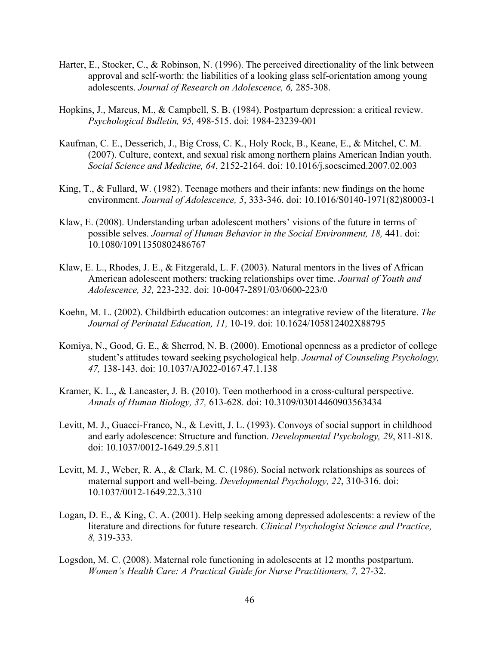- Harter, E., Stocker, C., & Robinson, N. (1996). The perceived directionality of the link between approval and self-worth: the liabilities of a looking glass self-orientation among young adolescents. *Journal of Research on Adolescence, 6,* 285-308.
- Hopkins, J., Marcus, M., & Campbell, S. B. (1984). Postpartum depression: a critical review. *Psychological Bulletin, 95,* 498-515. doi: 1984-23239-001
- Kaufman, C. E., Desserich, J., Big Cross, C. K., Holy Rock, B., Keane, E., & Mitchel, C. M. (2007). Culture, context, and sexual risk among northern plains American Indian youth. *Social Science and Medicine, 64*, 2152-2164. doi: 10.1016/j.socscimed.2007.02.003
- King, T., & Fullard, W. (1982). Teenage mothers and their infants: new findings on the home environment. *Journal of Adolescence, 5*, 333-346. doi: 10.1016/S0140-1971(82)80003-1
- Klaw, E. (2008). Understanding urban adolescent mothers' visions of the future in terms of possible selves. *Journal of Human Behavior in the Social Environment, 18,* 441. doi: 10.1080/10911350802486767
- Klaw, E. L., Rhodes, J. E., & Fitzgerald, L. F. (2003). Natural mentors in the lives of African American adolescent mothers: tracking relationships over time. *Journal of Youth and Adolescence, 32,* 223-232. doi: 10-0047-2891/03/0600-223/0
- Koehn, M. L. (2002). Childbirth education outcomes: an integrative review of the literature. *The Journal of Perinatal Education, 11,* 10-19. doi: 10.1624/105812402X88795
- Komiya, N., Good, G. E., & Sherrod, N. B. (2000). Emotional openness as a predictor of college student's attitudes toward seeking psychological help. *Journal of Counseling Psychology, 47,* 138-143. doi: 10.1037/AJ022-0167.47.1.138
- Kramer, K. L., & Lancaster, J. B. (2010). Teen motherhood in a cross-cultural perspective. *Annals of Human Biology, 37,* 613-628. doi: 10.3109/03014460903563434
- Levitt, M. J., Guacci-Franco, N., & Levitt, J. L. (1993). Convoys of social support in childhood and early adolescence: Structure and function. *Developmental Psychology, 29*, 811-818. doi: 10.1037/0012-1649.29.5.811
- Levitt, M. J., Weber, R. A., & Clark, M. C. (1986). Social network relationships as sources of maternal support and well-being. *Developmental Psychology, 22*, 310-316. doi: 10.1037/0012-1649.22.3.310
- Logan, D. E., & King, C. A. (2001). Help seeking among depressed adolescents: a review of the literature and directions for future research. *Clinical Psychologist Science and Practice, 8,* 319-333.
- Logsdon, M. C. (2008). Maternal role functioning in adolescents at 12 months postpartum. *Women's Health Care: A Practical Guide for Nurse Practitioners, 7,* 27-32.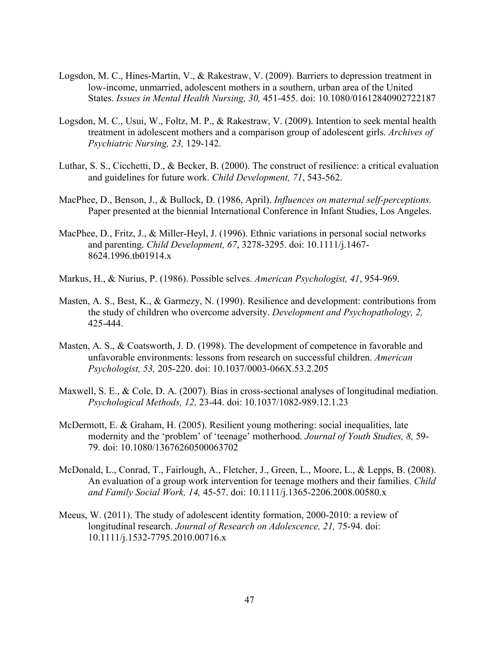- Logsdon, M. C., Hines-Martin, V., & Rakestraw, V. (2009). Barriers to depression treatment in low-income, unmarried, adolescent mothers in a southern, urban area of the United States. *Issues in Mental Health Nursing, 30,* 451-455. doi: 10.1080/01612840902722187
- Logsdon, M. C., Usui, W., Foltz, M. P., & Rakestraw, V. (2009). Intention to seek mental health treatment in adolescent mothers and a comparison group of adolescent girls. *Archives of Psychiatric Nursing, 23,* 129-142.
- Luthar, S. S., Cicchetti, D., & Becker, B. (2000). The construct of resilience: a critical evaluation and guidelines for future work. *Child Development, 71*, 543-562.
- MacPhee, D., Benson, J., & Bullock, D. (1986, April). *Influences on maternal self-perceptions.* Paper presented at the biennial International Conference in Infant Studies, Los Angeles.
- MacPhee, D., Fritz, J., & Miller-Heyl, J. (1996). Ethnic variations in personal social networks and parenting. *Child Development, 67*, 3278-3295. doi: 10.1111/j.1467- 8624.1996.tb01914.x
- Markus, H., & Nurius, P. (1986). Possible selves. *American Psychologist, 41*, 954-969.
- Masten, A. S., Best, K., & Garmezy, N. (1990). Resilience and development: contributions from the study of children who overcome adversity. *Development and Psychopathology, 2,* 425-444.
- Masten, A. S., & Coatsworth, J. D. (1998). The development of competence in favorable and unfavorable environments: lessons from research on successful children. *American Psychologist, 53,* 205-220. doi: 10.1037/0003-066X.53.2.205
- Maxwell, S. E., & Cole, D. A. (2007). Bias in cross-sectional analyses of longitudinal mediation. *Psychological Methods, 12,* 23-44. doi: 10.1037/1082-989.12.1.23
- McDermott, E. & Graham, H. (2005). Resilient young mothering: social inequalities, late modernity and the 'problem' of 'teenage' motherhood. *Journal of Youth Studies, 8,* 59- 79. doi: 10.1080/13676260500063702
- McDonald, L., Conrad, T., Fairlough, A., Fletcher, J., Green, L., Moore, L., & Lepps, B. (2008). An evaluation of a group work intervention for teenage mothers and their families. *Child and Family Social Work, 14,* 45-57. doi: 10.1111/j.1365-2206.2008.00580.x
- Meeus, W. (2011). The study of adolescent identity formation, 2000-2010: a review of longitudinal research. *Journal of Research on Adolescence, 21,* 75-94. doi: 10.1111/j.1532-7795.2010.00716.x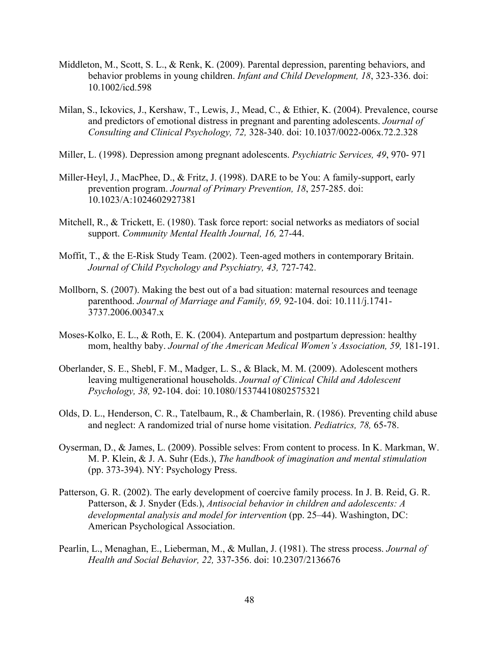- Middleton, M., Scott, S. L., & Renk, K. (2009). Parental depression, parenting behaviors, and behavior problems in young children. *Infant and Child Development, 18*, 323-336. doi: 10.1002/icd.598
- Milan, S., Ickovics, J., Kershaw, T., Lewis, J., Mead, C., & Ethier, K. (2004). Prevalence, course and predictors of emotional distress in pregnant and parenting adolescents. *Journal of Consulting and Clinical Psychology, 72,* 328-340. doi: 10.1037/0022-006x.72.2.328
- Miller, L. (1998). Depression among pregnant adolescents. *Psychiatric Services, 49*, 970- 971
- Miller-Heyl, J., MacPhee, D., & Fritz, J. (1998). DARE to be You: A family-support, early prevention program. *Journal of Primary Prevention, 18*, 257-285. doi: 10.1023/A:1024602927381
- Mitchell, R., & Trickett, E. (1980). Task force report: social networks as mediators of social support. *Community Mental Health Journal, 16,* 27-44.
- Moffit, T., & the E-Risk Study Team. (2002). Teen-aged mothers in contemporary Britain. *Journal of Child Psychology and Psychiatry, 43,* 727-742.
- Mollborn, S. (2007). Making the best out of a bad situation: maternal resources and teenage parenthood. *Journal of Marriage and Family, 69,* 92-104. doi: 10.111/j.1741- 3737.2006.00347.x
- Moses-Kolko, E. L., & Roth, E. K. (2004). Antepartum and postpartum depression: healthy mom, healthy baby. *Journal of the American Medical Women's Association, 59,* 181-191.
- Oberlander, S. E., Shebl, F. M., Madger, L. S., & Black, M. M. (2009). Adolescent mothers leaving multigenerational households. *Journal of Clinical Child and Adolescent Psychology, 38,* 92-104. doi: 10.1080/15374410802575321
- Olds, D. L., Henderson, C. R., Tatelbaum, R., & Chamberlain, R. (1986). Preventing child abuse and neglect: A randomized trial of nurse home visitation. *Pediatrics, 78,* 65-78.
- Oyserman, D., & James, L. (2009). Possible selves: From content to process. In K. Markman, W. M. P. Klein, & J. A. Suhr (Eds.), *The handbook of imagination and mental stimulation*  (pp. 373-394). NY: Psychology Press.
- Patterson, G. R. (2002). The early development of coercive family process. In J. B. Reid, G. R. Patterson, & J. Snyder (Eds.), *Antisocial behavior in children and adolescents: A developmental analysis and model for intervention* (pp. 25–44). Washington, DC: American Psychological Association.
- Pearlin, L., Menaghan, E., Lieberman, M., & Mullan, J. (1981). The stress process. *Journal of Health and Social Behavior, 22,* 337-356. doi: 10.2307/2136676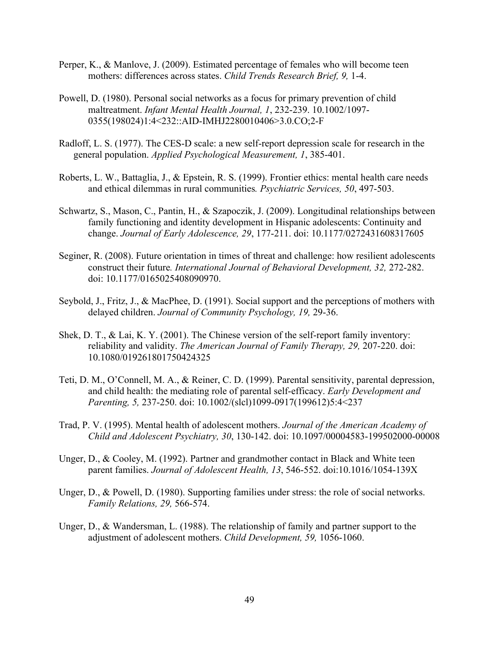- Perper, K., & Manlove, J. (2009). Estimated percentage of females who will become teen mothers: differences across states. *Child Trends Research Brief, 9,* 1-4.
- Powell, D. (1980). Personal social networks as a focus for primary prevention of child maltreatment. *Infant Mental Health Journal, 1*, 232-239. 10.1002/1097- 0355(198024)1:4<232::AID-IMHJ2280010406>3.0.CO;2-F
- Radloff, L. S. (1977). The CES-D scale: a new self-report depression scale for research in the general population. *Applied Psychological Measurement, 1*, 385-401.
- Roberts, L. W., Battaglia, J., & Epstein, R. S. (1999). Frontier ethics: mental health care needs and ethical dilemmas in rural communities*. Psychiatric Services, 50*, 497-503.
- Schwartz, S., Mason, C., Pantin, H., & Szapoczik, J. (2009). Longitudinal relationships between family functioning and identity development in Hispanic adolescents: Continuity and change. *Journal of Early Adolescence, 29*, 177-211. doi: 10.1177/0272431608317605
- Seginer, R. (2008). Future orientation in times of threat and challenge: how resilient adolescents construct their future*. International Journal of Behavioral Development, 32,* 272-282. doi: 10.1177/0165025408090970.
- Seybold, J., Fritz, J., & MacPhee, D. (1991). Social support and the perceptions of mothers with delayed children. *Journal of Community Psychology, 19,* 29-36.
- Shek, D. T., & Lai, K. Y. (2001). The Chinese version of the self-report family inventory: reliability and validity. *The American Journal of Family Therapy, 29,* 207-220. doi: 10.1080/019261801750424325
- Teti, D. M., O'Connell, M. A., & Reiner, C. D. (1999). Parental sensitivity, parental depression, and child health: the mediating role of parental self-efficacy. *Early Development and Parenting, 5,* 237-250. doi: 10.1002/(slcl)1099-0917(199612)5:4<237
- Trad, P. V. (1995). Mental health of adolescent mothers. *Journal of the American Academy of Child and Adolescent Psychiatry, 30*, 130-142. doi: 10.1097/00004583-199502000-00008
- Unger, D., & Cooley, M. (1992). Partner and grandmother contact in Black and White teen parent families. *Journal of Adolescent Health, 13*, 546-552. doi:10.1016/1054-139X
- Unger, D., & Powell, D. (1980). Supporting families under stress: the role of social networks. *Family Relations, 29,* 566-574.
- Unger, D., & Wandersman, L. (1988). The relationship of family and partner support to the adjustment of adolescent mothers. *Child Development, 59,* 1056-1060.